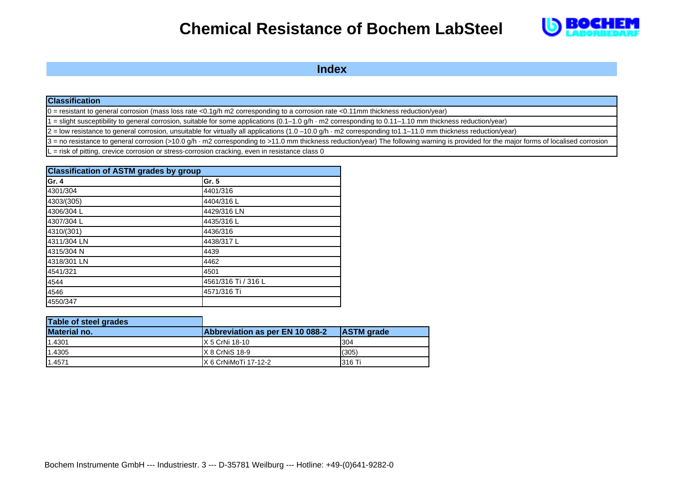

**Index**

#### **Classification**

 $0 =$  resistant to general corrosion (mass loss rate <0.1g/h m2 corresponding to a corrosion rate <0.11mm thickness reduction/year)

1 = slight susceptibility to general corrosion, suitable for some applications (0.1–1.0 g/h · m2 corresponding to 0.11–1.10 mm thickness reduction/year)

 $2 =$  low resistance to general corrosion, unsuitable for virtually all applications  $(1.0 - 10.0 g/h \cdot m2$  corresponding to $1.1 - 11.0$  mm thickness reduction/year)

 $3$  = no resistance to general corrosion (>10.0 g/h  $\cdot$  m2 corresponding to >11.0 mm thickness reduction/year) The following warning is provided for the major forms of localised corrosion

 $=$  risk of pitting, crevice corrosion or stress-corrosion cracking, even in resistance class 0

| <b>Classification of ASTM grades by group</b> |                     |  |  |
|-----------------------------------------------|---------------------|--|--|
| Gr. 4                                         | Gr. 5               |  |  |
| 4301/304                                      | 4401/316            |  |  |
| 4303/(305)                                    | 4404/316L           |  |  |
| 4306/304 L                                    | 4429/316 LN         |  |  |
| 4307/304 L                                    | 4435/316L           |  |  |
| 4310/(301)                                    | 4436/316            |  |  |
| 4311/304 LN                                   | 4438/317L           |  |  |
| 4315/304 N                                    | 4439                |  |  |
| 4318/301 LN                                   | 4462                |  |  |
| 4541/321                                      | 4501                |  |  |
| 4544                                          | 4561/316 Ti / 316 L |  |  |
| 4546                                          | 4571/316 Ti         |  |  |
| 4550/347                                      |                     |  |  |

| Table of steel grades |                                 |                   |
|-----------------------|---------------------------------|-------------------|
| <b>Material no.</b>   | Abbreviation as per EN 10 088-2 | <b>ASTM</b> grade |
| 1.4301                | X 5 CrNi 18-10                  | 304               |
| 1.4305                | $IX 8$ CrNiS 18-9               | (305)             |
| 1.4571                | IX 6 CrNiMoTi 17-12-2           | 316 Ti            |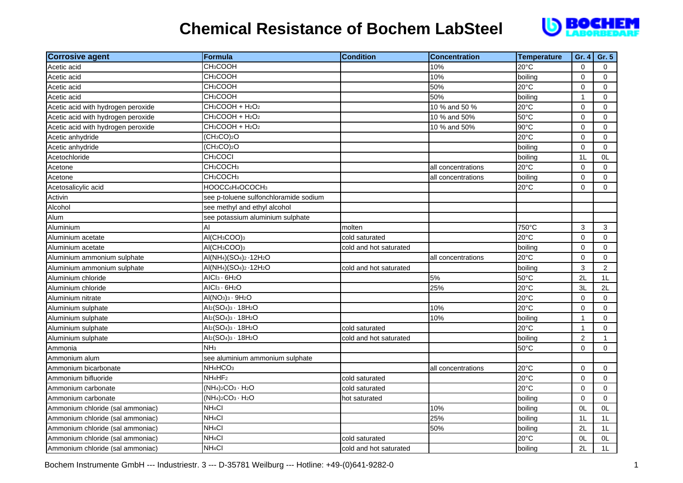

| <b>Corrosive agent</b>             | Formula                                                                 | <b>Condition</b>       | <b>Concentration</b> | <b>Temperature</b> | Gr. 4          | Gr. 5          |
|------------------------------------|-------------------------------------------------------------------------|------------------------|----------------------|--------------------|----------------|----------------|
| Acetic acid                        | <b>CH<sub>3</sub>COOH</b>                                               |                        | 10%                  | 20°C               | $\mathbf 0$    | $\Omega$       |
| Acetic acid                        | CH <sub>3</sub> COOH                                                    |                        | 10%                  | boiling            | 0              | $\Omega$       |
| Acetic acid                        | CH <sub>3</sub> COOH                                                    |                        | 50%                  | 20°C               | $\mathbf 0$    | 0              |
| Acetic acid                        | CH <sub>3</sub> COOH                                                    |                        | 50%                  | boiling            | $\mathbf{1}$   | 0              |
| Acetic acid with hydrogen peroxide | $CH3COOH + H2O2$                                                        |                        | 10 % and 50 %        | 20°C               | $\Omega$       | $\Omega$       |
| Acetic acid with hydrogen peroxide | CH <sub>3</sub> COOH + H <sub>2</sub> O <sub>2</sub>                    |                        | 10 % and 50%         | 50°C               | $\Omega$       | $\Omega$       |
| Acetic acid with hydrogen peroxide | CH3COOH + H2O2                                                          |                        | 10 % and 50%         | 90°C               | $\mathbf 0$    | $\mathbf 0$    |
| Acetic anhydride                   | (CH <sub>3</sub> CO) <sub>2</sub> O                                     |                        |                      | 20°C               | $\mathbf 0$    | $\Omega$       |
| Acetic anhydride                   | (CH <sub>3</sub> CO) <sub>2</sub> O                                     |                        |                      | boiling            | 0              | $\Omega$       |
| Acetochloride                      | CH <sub>3</sub> COCI                                                    |                        |                      | boiling            | 1 <sub>L</sub> | 0L             |
| Acetone                            | CH <sub>3</sub> COCH <sub>3</sub>                                       |                        | all concentrations   | 20°C               | $\Omega$       | $\Omega$       |
| Acetone                            | CH <sub>3</sub> COCH <sub>3</sub>                                       |                        | all concentrations   | boiling            | $\mathbf 0$    | $\mathbf 0$    |
| Acetosalicylic acid                | HOOCC6H4OCOCH3                                                          |                        |                      | 20°C               | $\mathbf 0$    | $\Omega$       |
| Activin                            | see p-toluene sulfonchloramide sodium                                   |                        |                      |                    |                |                |
| Alcohol                            | see methyl and ethyl alcohol                                            |                        |                      |                    |                |                |
| Alum                               | see potassium aluminium sulphate                                        |                        |                      |                    |                |                |
| Aluminium                          | AI                                                                      | molten                 |                      | 750°C              | 3              | 3              |
| Aluminium acetate                  | AI(CH <sub>3</sub> COO) <sub>3</sub>                                    | cold saturated         |                      | 20°C               | $\mathbf 0$    | $\Omega$       |
| Aluminium acetate                  | AI(CH <sub>3</sub> COO) <sub>3</sub>                                    | cold and hot saturated |                      | boiling            | $\mathbf 0$    | $\Omega$       |
| Aluminium ammonium sulphate        | AI(NH <sub>4</sub> )(SO <sub>4</sub> ) <sub>2</sub> -12H <sub>2</sub> O |                        | all concentrations   | $20^{\circ}$ C     | $\Omega$       | $\Omega$       |
| Aluminium ammonium sulphate        | AI(NH <sub>4</sub> )(SO <sub>4</sub> ) <sub>2</sub> -12H <sub>2</sub> O | cold and hot saturated |                      | boiling            | 3              | 2              |
| Aluminium chloride                 | AICI <sub>3</sub> · 6H <sub>2</sub> O                                   |                        | 5%                   | 50°C               | 2L             | 1L             |
| Aluminium chloride                 | AICI <sub>3</sub> · 6H <sub>2</sub> O                                   |                        | 25%                  | 20°C               | 3L             | 2L             |
| Aluminium nitrate                  | $AI(NO3)3 · 9H2O$                                                       |                        |                      | 20°C               | $\mathbf 0$    | $\Omega$       |
| Aluminium sulphate                 | Al <sub>2</sub> (SO <sub>4</sub> ) <sub>3</sub> · 18H <sub>2</sub> O    |                        | 10%                  | 20°C               | $\Omega$       | $\Omega$       |
| Aluminium sulphate                 | $Al_2(SO_4)_3 \cdot 18H_2O$                                             |                        | 10%                  | boiling            | $\mathbf{1}$   | $\mathbf 0$    |
| Aluminium sulphate                 | Al <sub>2</sub> (SO <sub>4</sub> ) <sub>3</sub> · 18H <sub>2</sub> O    | cold saturated         |                      | 20°C               | $\mathbf{1}$   | $\mathbf 0$    |
| Aluminium sulphate                 | $\overline{Al_2}(SO_4)_3 \cdot 18H_2O$                                  | cold and hot saturated |                      | boiling            | $\overline{2}$ | $\mathbf{1}$   |
| Ammonia                            | NH <sub>3</sub>                                                         |                        |                      | $50^{\circ}$ C     | $\Omega$       | $\Omega$       |
| Ammonium alum                      | see aluminium ammonium sulphate                                         |                        |                      |                    |                |                |
| Ammonium bicarbonate               | NH <sub>4</sub> HCO <sub>3</sub>                                        |                        | all concentrations   | 20°C               | $\mathbf 0$    | $\mathbf 0$    |
| Ammonium bifluoride                | NH <sub>4</sub> HF <sub>2</sub>                                         | cold saturated         |                      | 20°C               | $\mathbf 0$    | $\mathbf 0$    |
| Ammonium carbonate                 | $(NH4)2CO3 · H2O$                                                       | cold saturated         |                      | 20°C               | $\mathbf 0$    | 0              |
| Ammonium carbonate                 | $(NH4)2CO3 · H2O$                                                       | hot saturated          |                      | boiling            | $\mathbf 0$    | $\mathbf 0$    |
| Ammonium chloride (sal ammoniac)   | NH <sub>4</sub> CI                                                      |                        | 10%                  | boiling            | 0L             | 0L             |
| Ammonium chloride (sal ammoniac)   | NH <sub>4</sub> CI                                                      |                        | 25%                  | boiling            | 1L             | 1L             |
| Ammonium chloride (sal ammoniac)   | NH <sub>4</sub> CI                                                      |                        | 50%                  | boiling            | 2L             | 1L             |
| Ammonium chloride (sal ammoniac)   | NH <sub>4</sub> CI                                                      | cold saturated         |                      | 20°C               | OL             | 0L             |
| Ammonium chloride (sal ammoniac)   | NH <sub>4</sub> CI                                                      | cold and hot saturated |                      | boiling            | 2L             | 1 <sub>L</sub> |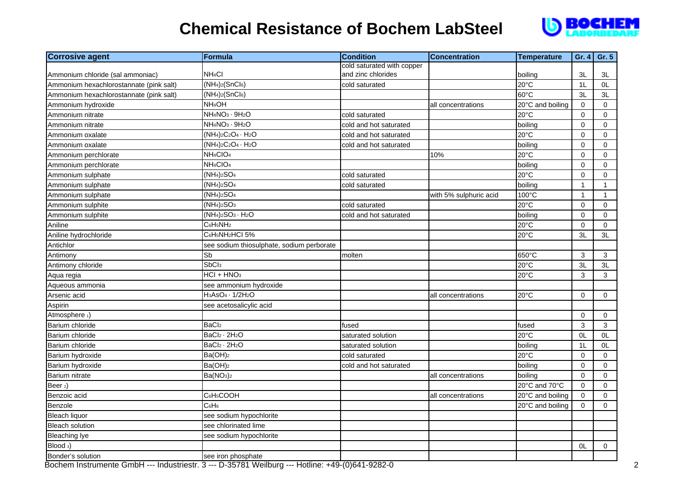

| <b>Corrosive agent</b>                  | <b>Formula</b>                                      | <b>Condition</b>           | <b>Concentration</b>   | <b>Temperature</b> | Gr. 4        | Gr. 5               |
|-----------------------------------------|-----------------------------------------------------|----------------------------|------------------------|--------------------|--------------|---------------------|
|                                         |                                                     | cold saturated with copper |                        |                    |              |                     |
| Ammonium chloride (sal ammoniac)        | NH <sub>4</sub> CI                                  | and zinc chlorides         |                        | boiling            | 3L           | 3L                  |
| Ammonium hexachlorostannate (pink salt) | $(NH4)2(SnCl6)$                                     | cold saturated             |                        | 20°C               | 1L           | 0L                  |
| Ammonium hexachlorostannate (pink salt) | $(NH4)2(SnCl6)$                                     |                            |                        | 60°C               | 3L           | 3L                  |
| Ammonium hydroxide                      | NH <sub>4</sub> OH                                  |                            | all concentrations     | 20°C and boiling   | $\mathbf 0$  | $\mathbf 0$         |
| Ammonium nitrate                        | NH <sub>4</sub> NO <sub>3</sub> · 9H <sub>2</sub> O | cold saturated             |                        | $20^{\circ}$ C     | $\mathbf 0$  | $\mathbf 0$         |
| Ammonium nitrate                        | NH <sub>4</sub> NO <sub>3</sub> · 9H <sub>2</sub> O | cold and hot saturated     |                        | boiling            | 0            | $\mathbf 0$         |
| Ammonium oxalate                        | $(NH4)2C2O4 · H2O$                                  | cold and hot saturated     |                        | 20°C               | 0            | 0                   |
| Ammonium oxalate                        | $(NH4)2C2O4 · H2O$                                  | cold and hot saturated     |                        | boiling            | $\mathbf 0$  | $\mathbf 0$         |
| Ammonium perchlorate                    | NH <sub>4</sub> CIO <sub>4</sub>                    |                            | 10%                    | 20°C               | $\mathbf 0$  | 0                   |
| Ammonium perchlorate                    | NH <sub>4</sub> CIO <sub>4</sub>                    |                            |                        | boiling            | 0            | $\mathsf{O}\xspace$ |
| Ammonium sulphate                       | $(NH4)2SO4$                                         | cold saturated             |                        | $20^{\circ}$ C     | 0            | $\mathbf 0$         |
| Ammonium sulphate                       | $(NH4)2SO4$                                         | cold saturated             |                        | boiling            | $\mathbf{1}$ | $\mathbf{1}$        |
| Ammonium sulphate                       | $(NH4)2SO4$                                         |                            | with 5% sulphuric acid | 100°C              | $\mathbf{1}$ | 1                   |
| Ammonium sulphite                       | $(NH4)2SO3$                                         | cold saturated             |                        | 20°C               | 0            | $\mathbf 0$         |
| Ammonium sulphite                       | $(NH4)2SO3 · H2O$                                   | cold and hot saturated     |                        | boiling            | 0            | $\mathbf 0$         |
| Aniline                                 | C <sub>6</sub> H <sub>5</sub> NH <sub>2</sub>       |                            |                        | 20°C               | $\mathsf 0$  | $\mathsf{O}\xspace$ |
| Aniline hydrochloride                   | C6H5NH2HCI 5%                                       |                            |                        | 20°C               | 3L           | 3L                  |
| Antichlor                               | see sodium thiosulphate, sodium perborate           |                            |                        |                    |              |                     |
| Antimony                                | Sb                                                  | molten                     |                        | 650°C              | 3            | 3                   |
| Antimony chloride                       | SbC <sub>l3</sub>                                   |                            |                        | 20°C               | 3L           | 3L                  |
| Aqua regia                              | $HCI + HNO3$                                        |                            |                        | 20°C               | 3            | 3                   |
| Aqueous ammonia                         | see ammonium hydroxide                              |                            |                        |                    |              |                     |
| Arsenic acid                            | $H_3ASO_4 \cdot 1/2H_2O$                            |                            | all concentrations     | 20°C               | $\mathbf 0$  | $\mathbf 0$         |
| Aspirin                                 | see acetosalicylic acid                             |                            |                        |                    |              |                     |
| Atmosphere 1)                           |                                                     |                            |                        |                    | $\mathbf 0$  | $\mathbf 0$         |
| Barium chloride                         | BaCl <sub>2</sub>                                   | fused                      |                        | fused              | 3            | $\mathbf{3}$        |
| Barium chloride                         | BaCl <sub>2</sub> · 2H <sub>2</sub> O               | saturated solution         |                        | 20°C               | OL           | 0L                  |
| Barium chloride                         | BaCl <sub>2</sub> · 2H <sub>2</sub> O               | saturated solution         |                        | boiling            | 1L           | OL.                 |
| Barium hydroxide                        | Ba(OH) <sub>2</sub>                                 | cold saturated             |                        | 20°C               | 0            | $\mathbf 0$         |
| Barium hydroxide                        | Ba(OH) <sub>2</sub>                                 | cold and hot saturated     |                        | boiling            | $\mathbf 0$  | $\mathbf 0$         |
| Barium nitrate                          | Ba(NO <sub>3</sub> ) <sub>2</sub>                   |                            | all concentrations     | boiling            | 0            | $\mathbf 0$         |
| Beer <sub>2</sub> )                     |                                                     |                            |                        | 20°C and 70°C      | $\mathbf 0$  | $\mathbf 0$         |
| Benzoic acid                            | C <sub>6</sub> H <sub>5</sub> COOH                  |                            | all concentrations     | 20°C and boiling   | 0            | $\mathbf 0$         |
| Benzole                                 | C <sub>6</sub> H <sub>6</sub>                       |                            |                        | 20°C and boiling   | 0            | $\Omega$            |
| <b>Bleach liquor</b>                    | see sodium hypochlorite                             |                            |                        |                    |              |                     |
| <b>Bleach solution</b>                  | see chlorinated lime                                |                            |                        |                    |              |                     |
| <b>Bleaching lye</b>                    | see sodium hypochlorite                             |                            |                        |                    |              |                     |
| Blood 3)                                |                                                     |                            |                        |                    | 0L           | $\mathbf 0$         |
| Bonder's solution                       | see iron phosphate                                  |                            |                        |                    |              |                     |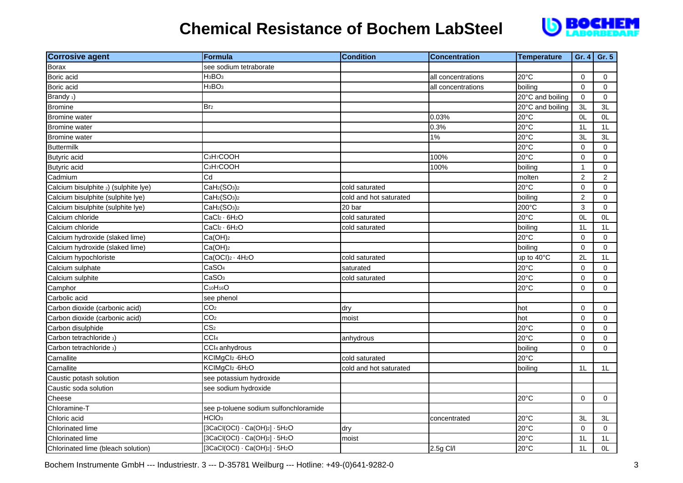

| <b>Corrosive agent</b>               | <b>Formula</b>                                   | <b>Condition</b>       | <b>Concentration</b> | <b>Temperature</b> | Gr. 4          | Gr. 5          |
|--------------------------------------|--------------------------------------------------|------------------------|----------------------|--------------------|----------------|----------------|
| <b>Borax</b>                         | see sodium tetraborate                           |                        |                      |                    |                |                |
| Boric acid                           | H <sub>3</sub> BO <sub>3</sub>                   |                        | all concentrations   | $20^{\circ}$ C     | $\Omega$       | $\Omega$       |
| Boric acid                           | H <sub>3</sub> BO <sub>3</sub>                   |                        | all concentrations   | boiling            | $\mathbf 0$    | $\mathbf 0$    |
| Brandy <sub>1</sub> )                |                                                  |                        |                      | 20°C and boiling   | $\mathbf 0$    | $\mathbf 0$    |
| <b>Bromine</b>                       | Br <sub>2</sub>                                  |                        |                      | 20°C and boiling   | 3L             | 3L             |
| <b>Bromine</b> water                 |                                                  |                        | 0.03%                | 20°C               | 0L             | 0L             |
| <b>Bromine</b> water                 |                                                  |                        | 0.3%                 | $20^{\circ}$ C     | 1 <sub>L</sub> | 1 <sub>L</sub> |
| <b>Bromine</b> water                 |                                                  |                        | $1\%$                | $20^{\circ}$ C     | 3L             | 3L             |
| <b>Buttermilk</b>                    |                                                  |                        |                      | 20°C               | $\mathbf 0$    | $\mathbf 0$    |
| <b>Butyric</b> acid                  | C <sub>3</sub> H <sub>7</sub> COOH               |                        | 100%                 | 20°C               | $\mathbf 0$    | $\mathbf 0$    |
| <b>Butyric</b> acid                  | C <sub>3</sub> H <sub>7</sub> COOH               |                        | 100%                 | boiling            | $\mathbf{1}$   | $\mathbf 0$    |
| Cadmium                              | Cd                                               |                        |                      | molten             | $\overline{2}$ | $\overline{2}$ |
| Calcium bisulphite 2) (sulphite lye) | CaH <sub>2</sub> (SO <sub>3</sub> ) <sub>2</sub> | cold saturated         |                      | $20^{\circ}$ C     | $\mathbf 0$    | $\mathbf 0$    |
| Calcium bisulphite (sulphite lye)    | CaH <sub>2</sub> (SO <sub>3</sub> ) <sub>2</sub> | cold and hot saturated |                      | boiling            | $\overline{2}$ | $\Omega$       |
| Calcium bisulphite (sulphite lye)    | CaH <sub>2</sub> (SO <sub>3</sub> ) <sub>2</sub> | 20 bar                 |                      | 200°C              | $\mathbf{3}$   | $\mathbf 0$    |
| Calcium chloride                     | $CaCl2 \cdot 6H2O$                               | cold saturated         |                      | 20°C               | OL             | 0L             |
| Calcium chloride                     | CaCl <sub>2</sub> · 6H <sub>2</sub> O            | cold saturated         |                      | boiling            | 1L             | 1L             |
| Calcium hydroxide (slaked lime)      | Ca(OH) <sub>2</sub>                              |                        |                      | $20^{\circ}$ C     | $\mathbf 0$    | $\mathbf 0$    |
| Calcium hydroxide (slaked lime)      | Ca(OH) <sub>2</sub>                              |                        |                      | boiling            | $\mathbf 0$    | $\mathbf 0$    |
| Calcium hypochloriste                | $Ca(OCl)2 \cdot 4H2O$                            | cold saturated         |                      | up to 40°C         | 2L             | 1 <sub>L</sub> |
| Calcium sulphate                     | CaSO <sub>4</sub>                                | saturated              |                      | 20°C               | $\mathbf 0$    | $\mathbf 0$    |
| Calcium sulphite                     | CaSO <sub>3</sub>                                | cold saturated         |                      | 20°C               | $\mathbf 0$    | $\mathbf 0$    |
| Camphor                              | C <sub>10</sub> H <sub>16</sub> O                |                        |                      | 20°C               | $\mathbf 0$    | $\mathbf 0$    |
| Carbolic acid                        | see phenol                                       |                        |                      |                    |                |                |
| Carbon dioxide (carbonic acid)       | CO <sub>2</sub>                                  | dry                    |                      | hot                | $\mathbf 0$    | $\mathbf 0$    |
| Carbon dioxide (carbonic acid)       | CO <sub>2</sub>                                  | moist                  |                      | hot                | $\mathbf 0$    | $\Omega$       |
| Carbon disulphide                    | CS <sub>2</sub>                                  |                        |                      | 20°C               | $\mathbf 0$    | $\Omega$       |
| Carbon tetrachloride 3)              | CCI <sub>4</sub>                                 | anhydrous              |                      | 20°C               | $\mathbf 0$    | $\mathbf 0$    |
| Carbon tetrachloride 3)              | CCI <sub>4</sub> anhydrous                       |                        |                      | boiling            | $\mathbf 0$    | $\Omega$       |
| Carnallite                           | KCIMgCl2 .6H <sub>2</sub> O                      | cold saturated         |                      | 20°C               |                |                |
| Carnallite                           | KCIMgCl2 - 6H <sub>2</sub> O                     | cold and hot saturated |                      | boiling            | 1 <sub>L</sub> | 1L             |
| Caustic potash solution              | see potassium hydroxide                          |                        |                      |                    |                |                |
| Caustic soda solution                | see sodium hydroxide                             |                        |                      |                    |                |                |
| Cheese                               |                                                  |                        |                      | 20°C               | $\Omega$       | $\Omega$       |
| Chloramine-T                         | see p-toluene sodium sulfonchloramide            |                        |                      |                    |                |                |
| Chloric acid                         | HCIO <sub>3</sub>                                |                        | concentrated         | 20°C               | 3L             | 3L             |
| <b>Chlorinated lime</b>              | $[3CaCl(OCl) \cdot Ca(OH)_2] \cdot 5H_2O$        | dry                    |                      | 20°C               | $\mathbf 0$    | $\mathbf 0$    |
| Chlorinated lime                     | $[3CaCl(OCl) \cdot Ca(OH)_2] \cdot 5H_2O$        | moist                  |                      | 20°C               | 1 <sub>L</sub> | 1 <sub>L</sub> |
| Chlorinated lime (bleach solution)   | $[3CaCl(OCl) \cdot Ca(OH)2] \cdot 5H_2O$         |                        | 2.5g Cl/l            | 20°C               | 1L             | 0L             |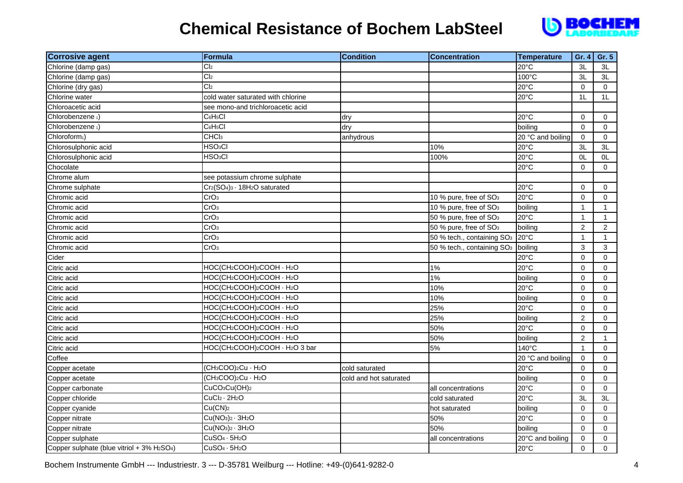

| <b>Corrosive agent</b>                    | Formula                                                                        | <b>Condition</b>       | <b>Concentration</b>                   | <b>Temperature</b> | Gr. 4            | Gr. 5          |
|-------------------------------------------|--------------------------------------------------------------------------------|------------------------|----------------------------------------|--------------------|------------------|----------------|
| Chlorine (damp gas)                       | C <sub>2</sub>                                                                 |                        |                                        | $20^{\circ}$ C     | 3L               | 3L             |
| Chlorine (damp gas)                       | Cl <sub>2</sub>                                                                |                        |                                        | 100°C              | 3L               | 3L             |
| Chlorine (dry gas)                        | Cl <sub>2</sub>                                                                |                        |                                        | 20°C               | $\Omega$         | $\Omega$       |
| Chlorine water                            | cold water saturated with chlorine                                             |                        |                                        | 20°C               | 1 <sub>L</sub>   | 1L             |
| Chloroacetic acid                         | see mono-and trichloroacetic acid                                              |                        |                                        |                    |                  |                |
| Chlorobenzene <sub>1</sub> )              | C <sub>6</sub> H <sub>5</sub> Cl                                               | dry                    |                                        | $20^{\circ}$ C     | $\mathbf 0$      | $\mathbf 0$    |
| Chlorobenzene 1)                          | C <sub>6</sub> H <sub>5</sub> Cl                                               | dry                    |                                        | boiling            | $\mathbf 0$      | $\mathbf 0$    |
| Chloroform <sub>1</sub> )                 | CHC <sub>l3</sub>                                                              | anhydrous              |                                        | 20 °C and boiling  | $\mathbf 0$      | $\Omega$       |
| Chlorosulphonic acid                      | HSO <sub>3</sub> Cl                                                            |                        | 10%                                    | 20°C               | 3L               | 3L             |
| Chlorosulphonic acid                      | HSO <sub>3</sub> CI                                                            |                        | 100%                                   | $20^{\circ}$ C     | 0 <sub>L</sub>   | 0L             |
| Chocolate                                 |                                                                                |                        |                                        | 20°C               | $\mathbf 0$      | $\mathbf 0$    |
| Chrome alum                               | see potassium chrome sulphate                                                  |                        |                                        |                    |                  |                |
| Chrome sulphate                           | Cr <sub>2</sub> (SO <sub>4</sub> ) <sub>3</sub> · 18H <sub>2</sub> O saturated |                        |                                        | 20°C               | $\mathbf 0$      | $\mathbf 0$    |
| Chromic acid                              | CrO <sub>3</sub>                                                               |                        | 10 % pure, free of SO <sub>3</sub>     | 20°C               | $\mathbf 0$      | $\mathbf 0$    |
| Chromic acid                              | CrO <sub>3</sub>                                                               |                        | 10 % pure, free of SO <sub>3</sub>     | boiling            | $\mathbf{1}$     | $\mathbf{1}$   |
| Chromic acid                              | CrO <sub>3</sub>                                                               |                        | 50 % pure, free of SO <sub>3</sub>     | 20°C               | $\mathbf{1}$     | $\mathbf{1}$   |
| Chromic acid                              | CrO <sub>3</sub>                                                               |                        | 50 % pure, free of SO <sub>3</sub>     | boiling            | $\overline{2}$   | $\overline{2}$ |
| Chromic acid                              | CrO <sub>3</sub>                                                               |                        | 50 % tech., containing SO <sub>3</sub> | $20^{\circ}$ C     | $\mathbf{1}$     | $\mathbf{1}$   |
| Chromic acid                              | CrO <sub>3</sub>                                                               |                        | 50 % tech., containing SO <sub>3</sub> | boiling            | 3                | 3              |
| Cider                                     |                                                                                |                        |                                        | 20°C               | 0                | 0              |
| Citric acid                               | HOC(CH2COOH)2COOH · H2O                                                        |                        | 1%                                     | 20°C               | $\mathbf 0$      | $\mathbf 0$    |
| Citric acid                               | HOC(CH2COOH)2COOH · H2O                                                        |                        | 1%                                     | boiling            | $\mathbf 0$      | $\mathbf 0$    |
| Citric acid                               | HOC(CH2COOH)2COOH · H2O                                                        |                        | 10%                                    | 20°C               | $\mathbf 0$      | $\mathbf 0$    |
| Citric acid                               | HOC(CH2COOH)2COOH · H2O                                                        |                        | 10%                                    | boiling            | $\mathbf 0$      | $\mathbf 0$    |
| Citric acid                               | HOC(CH2COOH)2COOH · H2O                                                        |                        | 25%                                    | 20°C               | $\mathbf 0$      | $\mathbf 0$    |
| Citric acid                               | HOC(CH2COOH)2COOH · H2O                                                        |                        | 25%                                    | boiling            | $\overline{c}$   | $\mathbf 0$    |
| Citric acid                               | HOC(CH2COOH)2COOH · H2O                                                        |                        | 50%                                    | $20^{\circ}$ C     | $\mathbf 0$      | $\mathbf 0$    |
| Citric acid                               | HOC(CH2COOH)2COOH · H2O                                                        |                        | 50%                                    | boiling            | $\boldsymbol{2}$ | $\mathbf{1}$   |
| Citric acid                               | HOC(CH2COOH)2COOH · H2O 3 bar                                                  |                        | 5%                                     | 140°C              | $\mathbf{1}$     | $\Omega$       |
| Coffee                                    |                                                                                |                        |                                        | 20 °C and boiling  | $\pmb{0}$        | $\mathbf 0$    |
| Copper acetate                            | (CH <sub>3</sub> COO) <sub>2</sub> Cu · H <sub>2</sub> O                       | cold saturated         |                                        | 20°C               | $\pmb{0}$        | $\mathbf 0$    |
| Copper acetate                            | (CH <sub>3</sub> COO) <sub>2</sub> Cu · H <sub>2</sub> O                       | cold and hot saturated |                                        | boiling            | $\mathbf 0$      | $\mathbf 0$    |
| Copper carbonate                          | CuCO <sub>3</sub> Cu(OH) <sub>2</sub>                                          |                        | all concentrations                     | 20°C               | $\mathbf 0$      | $\mathbf 0$    |
| Copper chloride                           | $CuCl2 \cdot 2H2O$                                                             |                        | cold saturated                         | 20°C               | 3L               | 3L             |
| Copper cyanide                            | Cu(CN) <sub>2</sub>                                                            |                        | hot saturated                          | boiling            | $\mathbf 0$      | $\mathbf 0$    |
| Copper nitrate                            | $Cu(NO3)2 · 3H2O$                                                              |                        | 50%                                    | 20°C               | $\mathbf 0$      | $\Omega$       |
| Copper nitrate                            | $Cu(NO3)2 · 3H2O$                                                              |                        | 50%                                    | boiling            | $\Omega$         | $\Omega$       |
| Copper sulphate                           | $CuSO4 \cdot 5H2O$                                                             |                        | all concentrations                     | 20°C and boiling   | $\mathbf 0$      | 0              |
| Copper sulphate (blue vitriol + 3% H2SO4) | $CuSO4 \cdot 5H2O$                                                             |                        |                                        | 20°C               | $\Omega$         | $\Omega$       |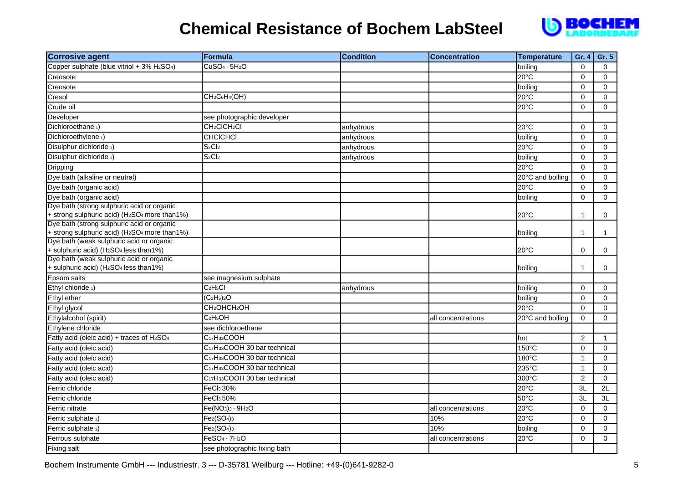

| <b>Corrosive agent</b>                                                            | <b>Formula</b>                                        | <b>Condition</b> | <b>Concentration</b> | <b>Temperature</b> | Gr. 4          | Gr. 5       |
|-----------------------------------------------------------------------------------|-------------------------------------------------------|------------------|----------------------|--------------------|----------------|-------------|
| Copper sulphate (blue vitriol + 3% H2SO4)                                         | $CuSO4 \cdot 5H2O$                                    |                  |                      | boiling            | $\mathbf 0$    | $\mathbf 0$ |
| Creosote                                                                          |                                                       |                  |                      | $20^{\circ}$ C     | $\mathbf 0$    | $\mathbf 0$ |
| Creosote                                                                          |                                                       |                  |                      | boiling            | $\mathbf 0$    | $\Omega$    |
| Cresol                                                                            | CH <sub>3</sub> C <sub>6</sub> H <sub>4</sub> (OH)    |                  |                      | 20°C               | $\mathbf 0$    | $\Omega$    |
| Crude oil                                                                         |                                                       |                  |                      | 20°C               | $\mathbf 0$    | $\Omega$    |
| Developer                                                                         | see photographic developer                            |                  |                      |                    |                |             |
| Dichloroethane 1)                                                                 | CH <sub>2</sub> CICH <sub>2</sub> CI                  | anhydrous        |                      | 20°C               | $\mathbf 0$    | $\mathbf 0$ |
| Dichloroethylene <sub>1</sub> )                                                   | CHCICHCI                                              | anhydrous        |                      | boiling            | $\mathbf 0$    | $\Omega$    |
| Disulphur dichloride 1)                                                           | S <sub>2</sub> Cl <sub>2</sub>                        | anhydrous        |                      | $20^{\circ}$ C     | $\mathbf 0$    | $\Omega$    |
| Disulphur dichloride 1)                                                           | S <sub>2</sub> Cl <sub>2</sub>                        | anhydrous        |                      | boiling            | $\Omega$       | $\Omega$    |
| Dripping                                                                          |                                                       |                  |                      | $20^{\circ}$ C     | $\mathbf 0$    | 0           |
| Dye bath (alkaline or neutral)                                                    |                                                       |                  |                      | 20°C and boiling   | $\mathbf 0$    | 0           |
| Dye bath (organic acid)                                                           |                                                       |                  |                      | $20^{\circ}$ C     | $\mathbf 0$    | 0           |
| Dye bath (organic acid)<br>Dye bath (strong sulphuric acid or organic             |                                                       |                  |                      | boiling            | $\mathbf 0$    | $\Omega$    |
|                                                                                   |                                                       |                  |                      |                    |                |             |
| + strong sulphuric acid) (H2SO4 more than1%)                                      |                                                       |                  |                      | 20°C               | $\mathbf{1}$   | 0           |
| Dye bath (strong sulphuric acid or organic                                        |                                                       |                  |                      |                    |                |             |
| + strong sulphuric acid) (H2SO4 more than1%)                                      |                                                       |                  |                      | boiling            | $\mathbf{1}$   | $\mathbf 1$ |
| Dye bath (weak sulphuric acid or organic<br>+ sulphuric acid) (H2SO4 less than1%) |                                                       |                  |                      | $20^{\circ}$ C     | $\Omega$       | $\mathbf 0$ |
| Dye bath (weak sulphuric acid or organic                                          |                                                       |                  |                      |                    |                |             |
| + sulphuric acid) (H <sub>2</sub> SO <sub>4</sub> less than1%)                    |                                                       |                  |                      | boiling            | $\mathbf{1}$   | 0           |
| Epsom salts                                                                       | see magnesium sulphate                                |                  |                      |                    |                |             |
| Ethyl chloride 1)                                                                 | C <sub>2</sub> H <sub>5</sub> Cl                      | anhydrous        |                      | boiling            | $\mathbf 0$    | 0           |
| Ethyl ether                                                                       | $\overline{(C_2H_5)_2O}$                              |                  |                      | boiling            | $\mathbf 0$    | $\Omega$    |
| Ethyl glycol                                                                      | CH <sub>2</sub> OHCH <sub>2</sub> OH                  |                  |                      | 20°C               | $\mathbf 0$    | 0           |
| Ethylalcohol (spirit)                                                             | C <sub>2</sub> H <sub>5</sub> OH                      |                  | all concentrations   | 20°C and boiling   | $\mathbf 0$    | 0           |
| Ethylene chloride                                                                 | see dichloroethane                                    |                  |                      |                    |                |             |
| Fatty acid (oleic acid) + traces of H2SO4                                         | C <sub>17</sub> H <sub>33</sub> COOH                  |                  |                      | hot                | $\overline{2}$ | $\mathbf 1$ |
| Fatty acid (oleic acid)                                                           | C <sub>17</sub> H <sub>33</sub> COOH 30 bar technical |                  |                      | 150°C              | $\mathbf 0$    | $\Omega$    |
| Fatty acid (oleic acid)                                                           | C <sub>17</sub> H <sub>33</sub> COOH 30 bar technical |                  |                      | 180°C              | $\mathbf{1}$   | $\mathbf 0$ |
| Fatty acid (oleic acid)                                                           | C <sub>17</sub> H <sub>33</sub> COOH 30 bar technical |                  |                      | 235°C              | $\mathbf{1}$   | 0           |
| Fatty acid (oleic acid)                                                           | C <sub>17</sub> H <sub>33</sub> COOH 30 bar technical |                  |                      | 300°C              | $\overline{2}$ | $\Omega$    |
| Ferric chloride                                                                   | FeCl <sub>3</sub> 30%                                 |                  |                      | $20^{\circ}$ C     | 3L             | 2L          |
| Ferric chloride                                                                   | FeCl <sub>3</sub> 50%                                 |                  |                      | 50°C               | 3L             | 3L          |
| Ferric nitrate                                                                    | $Fe(NO3)3 · 9H2O$                                     |                  | all concentrations   | $20^{\circ}$ C     | $\mathbf 0$    | 0           |
| Ferric sulphate 2)                                                                | $Fe2(SO4)3$                                           |                  | 10%                  | 20°C               | $\mathbf 0$    | $\mathbf 0$ |
| Ferric sulphate 2)                                                                | $Fe2(SO4)3$                                           |                  | 10%                  | boiling            | $\mathbf 0$    | $\mathbf 0$ |
| Ferrous sulphate                                                                  | $FeSO4 \cdot 7H2O$                                    |                  | all concentrations   | 20°C               | $\mathbf 0$    | 0           |
| Fixing salt                                                                       | see photographic fixing bath                          |                  |                      |                    |                |             |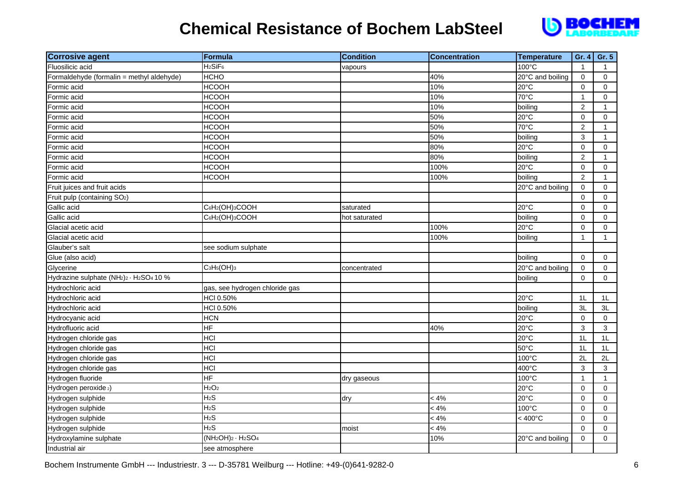

| <b>Corrosive agent</b>                                                                   | Formula                         | <b>Condition</b> | <b>Concentration</b> | <b>Temperature</b> | Gr. 4            | Gr. 5        |
|------------------------------------------------------------------------------------------|---------------------------------|------------------|----------------------|--------------------|------------------|--------------|
| Fluosilicic acid                                                                         | H <sub>2</sub> SiF <sub>6</sub> | vapours          |                      | 100°C              | $\mathbf{1}$     | $\mathbf{1}$ |
| Formaldehyde (formalin = methyl aldehyde)                                                | <b>HCHO</b>                     |                  | 40%                  | 20°C and boiling   | $\pmb{0}$        | $\mathbf 0$  |
| Formic acid                                                                              | <b>HCOOH</b>                    |                  | 10%                  | $20^{\circ}$ C     | $\mathbf 0$      | $\Omega$     |
| Formic acid                                                                              | <b>HCOOH</b>                    |                  | 10%                  | 70°C               | $\mathbf{1}$     | $\mathbf 0$  |
| Formic acid                                                                              | <b>HCOOH</b>                    |                  | 10%                  | boiling            | $\overline{c}$   | $\mathbf{1}$ |
| Formic acid                                                                              | <b>HCOOH</b>                    |                  | 50%                  | 20°C               | 0                | 0            |
| Formic acid                                                                              | <b>HCOOH</b>                    |                  | 50%                  | 70°C               | $\overline{2}$   | $\mathbf{1}$ |
| Formic acid                                                                              | <b>HCOOH</b>                    |                  | 50%                  | boiling            | 3                | $\mathbf{1}$ |
| Formic acid                                                                              | <b>HCOOH</b>                    |                  | 80%                  | 20°C               | $\mathbf 0$      | $\mathbf 0$  |
| Formic acid                                                                              | <b>HCOOH</b>                    |                  | 80%                  | boiling            | $\boldsymbol{2}$ | $\mathbf{1}$ |
| Formic acid                                                                              | <b>HCOOH</b>                    |                  | 100%                 | 20°C               | $\pmb{0}$        | $\mathbf 0$  |
| Formic acid                                                                              | <b>HCOOH</b>                    |                  | 100%                 | boiling            | $\overline{2}$   | $\mathbf{1}$ |
| Fruit juices and fruit acids                                                             |                                 |                  |                      | 20°C and boiling   | 0                | 0            |
| Fruit pulp (containing SO <sub>2</sub> )                                                 |                                 |                  |                      |                    | $\mathbf 0$      | $\mathbf 0$  |
| Gallic acid                                                                              | C6H2(OH)3COOH                   | saturated        |                      | 20°C               | 0                | 0            |
| Gallic acid                                                                              | C6H2(OH)3COOH                   | hot saturated    |                      | boiling            | $\mathbf 0$      | 0            |
| Glacial acetic acid                                                                      |                                 |                  | 100%                 | 20°C               | $\mathbf 0$      | $\mathbf 0$  |
| Glacial acetic acid                                                                      |                                 |                  | 100%                 | boiling            | $\mathbf{1}$     | $\mathbf{1}$ |
| Glauber's salt                                                                           | see sodium sulphate             |                  |                      |                    |                  |              |
| Glue (also acid)                                                                         |                                 |                  |                      | boiling            | 0                | 0            |
| Glycerine                                                                                | $C_3H_5(OH)_3$                  | concentrated     |                      | 20°C and boiling   | $\pmb{0}$        | $\mathbf 0$  |
| Hydrazine sulphate (NH <sub>2</sub> ) <sub>2</sub> · H <sub>2</sub> SO <sub>4</sub> 10 % |                                 |                  |                      | boiling            | $\mathbf 0$      | $\mathbf 0$  |
| Hydrochloric acid                                                                        | gas, see hydrogen chloride gas  |                  |                      |                    |                  |              |
| Hydrochloric acid                                                                        | HCI 0.50%                       |                  |                      | 20°C               | 1L               | 1L           |
| Hydrochloric acid                                                                        | HCI 0.50%                       |                  |                      | boiling            | 3L               | 3L           |
| Hydrocyanic acid                                                                         | <b>HCN</b>                      |                  |                      | 20°C               | 0                | $\mathbf 0$  |
| Hydrofluoric acid                                                                        | HF                              |                  | 40%                  | 20°C               | 3                | 3            |
| Hydrogen chloride gas                                                                    | <b>HCI</b>                      |                  |                      | 20°C               | 1L               | 1L           |
| Hydrogen chloride gas                                                                    | <b>HCI</b>                      |                  |                      | 50°C               | 1L               | 1L           |
| Hydrogen chloride gas                                                                    | <b>HCI</b>                      |                  |                      | 100°C              | 2L               | 2L           |
| Hydrogen chloride gas                                                                    | <b>HCI</b>                      |                  |                      | 400°C              | 3                | 3            |
| Hydrogen fluoride                                                                        | HF                              | dry gaseous      |                      | 100°C              | $\mathbf{1}$     | $\mathbf{1}$ |
| Hydrogen peroxide 2)                                                                     | H <sub>2</sub> O <sub>2</sub>   |                  |                      | $20^{\circ}$ C     | $\mathbf 0$      | $\mathbf 0$  |
| Hydrogen sulphide                                                                        | $H_2S$                          | dry              | < 4%                 | 20°C               | $\mathbf 0$      | $\mathbf 0$  |
| Hydrogen sulphide                                                                        | $H_2S$                          |                  | $< 4\%$              | 100°C              | 0                | $\Omega$     |
| Hydrogen sulphide                                                                        | H <sub>2</sub> S                |                  | $< 4\%$              | $< 400^{\circ}$ C  | $\mathbf 0$      | $\mathbf 0$  |
| Hydrogen sulphide                                                                        | $H_2S$                          | moist            | < 4%                 |                    | $\mathbf 0$      | 0            |
| Hydroxylamine sulphate                                                                   | $(NH2OH)2 · H2SO4$              |                  | 10%                  | 20°C and boiling   | 0                | $\mathbf 0$  |
| Industrial air                                                                           | see atmosphere                  |                  |                      |                    |                  |              |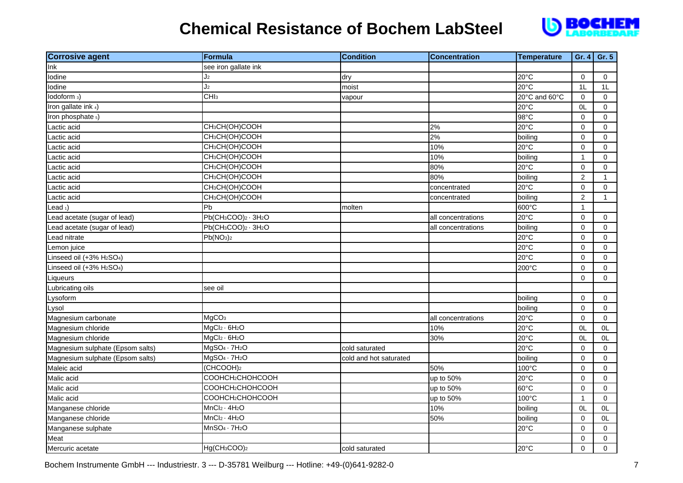# **D**BOCHEM

| <b>Corrosive agent</b>                            | <b>Formula</b>                                              | <b>Condition</b>       | <b>Concentration</b> | <b>Temperature</b> | Gr. 4               | Gr. 5        |
|---------------------------------------------------|-------------------------------------------------------------|------------------------|----------------------|--------------------|---------------------|--------------|
| Ink                                               | see iron gallate ink                                        |                        |                      |                    |                     |              |
| lodine                                            | J2                                                          | dry                    |                      | 20°C               | $\mathbf 0$         | $\mathbf 0$  |
| lodine                                            | J <sub>2</sub>                                              | moist                  |                      | $20^{\circ}$ C     | 1L                  | 1L           |
| lodoform 3)                                       | CHI <sub>3</sub>                                            | vapour                 |                      | 20°C and 60°C      | 0                   | $\mathbf 0$  |
| Iron gallate ink 4)                               |                                                             |                        |                      | 20°C               | 0L                  | $\mathbf 0$  |
| Iron phosphate 5)                                 |                                                             |                        |                      | 98°C               | $\mathbf 0$         | $\Omega$     |
| Lactic acid                                       | CH <sub>3</sub> CH(OH)COOH                                  |                        | 2%                   | 20°C               | $\mathbf 0$         | $\mathbf 0$  |
| Lactic acid                                       | CH <sub>3</sub> CH(OH)COOH                                  |                        | 2%                   | boiling            | $\mathbf 0$         | $\mathbf 0$  |
| Lactic acid                                       | CH <sub>3</sub> CH(OH)COOH                                  |                        | 10%                  | 20°C               | 0                   | $\mathbf 0$  |
| Lactic acid                                       | CH <sub>3</sub> CH(OH)COOH                                  |                        | 10%                  | boiling            | $\overline{1}$      | $\mathsf{O}$ |
| Lactic acid                                       | CH <sub>3</sub> CH(OH)COOH                                  |                        | 80%                  | 20°C               | 0                   | 0            |
| Lactic acid                                       | CH <sub>3</sub> CH(OH)COOH                                  |                        | 80%                  | boiling            | $\overline{c}$      | $\mathbf{1}$ |
| Lactic acid                                       | CH <sub>3</sub> CH(OH)COOH                                  |                        | concentrated         | 20°C               | $\mathsf{O}\xspace$ | $\mathbf 0$  |
| Lactic acid                                       | CH <sub>3</sub> CH(OH)COOH                                  |                        | concentrated         | boiling            | $\overline{c}$      | 1            |
| Lead $_1$ )                                       | Pb                                                          | molten                 |                      | 600°C              | $\overline{1}$      |              |
| Lead acetate (sugar of lead)                      | Pb(CH <sub>3</sub> COO) <sub>2</sub> · 3H <sub>2</sub> O    |                        | all concentrations   | 20°C               | $\mathbf 0$         | $\mathbf 0$  |
| Lead acetate (sugar of lead)                      | $Pb$ (CH <sub>3</sub> COO) <sub>2</sub> · 3H <sub>2</sub> O |                        | all concentrations   | boiling            | $\pmb{0}$           | $\mathsf{O}$ |
| Lead nitrate                                      | Pb(NO <sub>3</sub> ) <sub>2</sub>                           |                        |                      | $20^{\circ}$ C     | 0                   | $\mathbf 0$  |
| Lemon juice                                       |                                                             |                        |                      | 20°C               | 0                   | $\mathbf 0$  |
| Linseed oil (+3% H <sub>2</sub> SO <sub>4</sub> ) |                                                             |                        |                      | 20°C               | $\mathbf 0$         | $\Omega$     |
| Linseed oil (+3% H <sub>2</sub> SO <sub>4</sub> ) |                                                             |                        |                      | 200°C              | $\mathbf 0$         | $\Omega$     |
| Liqueurs                                          |                                                             |                        |                      |                    | $\mathbf 0$         | $\mathbf 0$  |
| Lubricating oils                                  | see oil                                                     |                        |                      |                    |                     |              |
| Lysoform                                          |                                                             |                        |                      | boiling            | $\mathbf 0$         | $\mathbf 0$  |
| Lysol                                             |                                                             |                        |                      | boiling            | $\mathbf 0$         | $\mathbf 0$  |
| Magnesium carbonate                               | MgCO <sub>3</sub>                                           |                        | all concentrations   | 20°C               | 0                   | $\mathbf 0$  |
| Magnesium chloride                                | $MgCl2 \cdot 6H2O$                                          |                        | 10%                  | 20°C               | OL                  | 0L           |
| Magnesium chloride                                | MgCl <sub>2</sub> · 6H <sub>2</sub> O                       |                        | 30%                  | 20°C               | OL                  | OL           |
| Magnesium sulphate (Epsom salts)                  | $MgSO4 \cdot 7H2O$                                          | cold saturated         |                      | 20°C               | 0                   | $\mathbf 0$  |
| Magnesium sulphate (Epsom salts)                  | $MgSO4 \cdot 7H2O$                                          | cold and hot saturated |                      | boiling            | $\mathbf 0$         | $\mathbf 0$  |
| Maleic acid                                       | (CHCOOH) <sub>2</sub>                                       |                        | 50%                  | 100°C              | $\pmb{0}$           | $\mathbf 0$  |
| Malic acid                                        | COOHCH2CHOHCOOH                                             |                        | up to 50%            | 20°C               | $\mathbf 0$         | $\mathbf 0$  |
| Malic acid                                        | COOHCH2CHOHCOOH                                             |                        | up to 50%            | 60°C               | $\mathbf 0$         | $\mathbf 0$  |
| Malic acid                                        | COOHCH2CHOHCOOH                                             |                        | up to 50%            | 100°C              | $\mathbf{1}$        | $\mathbf 0$  |
| Manganese chloride                                | $MnCl2 \cdot 4H2O$                                          |                        | 10%                  | boiling            | OL                  | OL           |
| Manganese chloride                                | $MnCl2 \cdot 4H2O$                                          |                        | 50%                  | boiling            | 0                   | 0L           |
| Manganese sulphate                                | $MnSO4 \cdot 7H2O$                                          |                        |                      | 20°C               | 0                   | $\mathbf 0$  |
| Meat                                              |                                                             |                        |                      |                    | 0                   | $\mathbf 0$  |
| Mercuric acetate                                  | Hg(CH <sub>3</sub> COO) <sub>2</sub>                        | cold saturated         |                      | 20°C               | 0                   | $\mathsf{O}$ |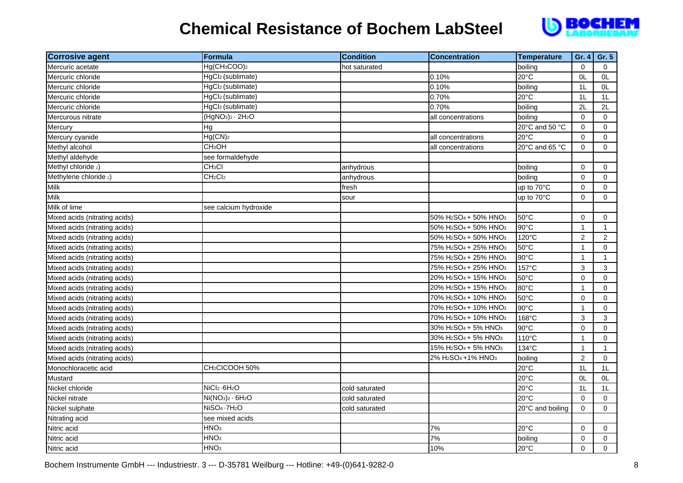

| <b>Corrosive agent</b>        | Formula                               | <b>Condition</b> | <b>Concentration</b>                                      | Temperature      | Gr. $4$        | Gr. 5          |
|-------------------------------|---------------------------------------|------------------|-----------------------------------------------------------|------------------|----------------|----------------|
| Mercuric acetate              | Hg(CH <sub>3</sub> COO) <sub>2</sub>  | hot saturated    |                                                           | boiling          | $\Omega$       | $\Omega$       |
| Mercuric chloride             | HgCl2 (sublimate)                     |                  | 0.10%                                                     | $20^{\circ}$ C   | OL             | 0L             |
| Mercuric chloride             | HgCl2 (sublimate)                     |                  | 0.10%                                                     | boiling          | 1L             | 0L             |
| Mercuric chloride             | HgCl2 (sublimate)                     |                  | 0.70%                                                     | 20°C             | 1L             | 1L             |
| Mercuric chloride             | HgCl2 (sublimate)                     |                  | 0.70%                                                     | boiling          | 2L             | 2L             |
| Mercurous nitrate             | $(HgNO3)2 \cdot 2H2O$                 |                  | all concentrations                                        | boiling          | $\mathbf 0$    | $\mathbf 0$    |
| Mercury                       | Hg                                    |                  |                                                           | 20°C and 50 °C   | $\mathbf 0$    | $\mathbf 0$    |
| Mercury cyanide               | Hg(CN) <sub>2</sub>                   |                  | all concentrations                                        | $20^{\circ}$ C   | $\Omega$       | $\Omega$       |
| Methyl alcohol                | CH <sub>3</sub> OH                    |                  | all concentrations                                        | 20°C and 65 °C   | $\Omega$       | $\Omega$       |
| Methyl aldehyde               | see formaldehyde                      |                  |                                                           |                  |                |                |
| Methyl chloride 2)            | CH <sub>3</sub> CI                    | anhydrous        |                                                           | boiling          | $\mathbf 0$    | $\overline{0}$ |
| Methylene chloride 2)         | CH <sub>2</sub> Cl <sub>2</sub>       | anhydrous        |                                                           | boiling          | $\mathbf 0$    | $\mathbf 0$    |
| <b>Milk</b>                   |                                       | fresh            |                                                           | up to 70°C       | $\mathbf 0$    | $\mathbf 0$    |
| Milk                          |                                       | sour             |                                                           | up to 70°C       | $\mathbf 0$    | $\Omega$       |
| Milk of lime                  | see calcium hydroxide                 |                  |                                                           |                  |                |                |
| Mixed acids (nitrating acids) |                                       |                  | 50% H <sub>2</sub> SO <sub>4</sub> + 50% HNO <sub>3</sub> | 50°C             | $\mathbf 0$    | $\mathbf 0$    |
| Mixed acids (nitrating acids) |                                       |                  | 50% H <sub>2</sub> SO <sub>4</sub> + 50% HNO <sub>3</sub> | 90°C             | $\mathbf{1}$   | $\mathbf{1}$   |
| Mixed acids (nitrating acids) |                                       |                  | 50% H <sub>2</sub> SO <sub>4</sub> + 50% HNO <sub>3</sub> | 120°C            | $\overline{2}$ | $\overline{2}$ |
| Mixed acids (nitrating acids) |                                       |                  | 75% H <sub>2</sub> SO <sub>4</sub> + 25% HNO <sub>3</sub> | 50°C             | $\mathbf{1}$   | $\mathbf 0$    |
| Mixed acids (nitrating acids) |                                       |                  | 75% H <sub>2</sub> SO <sub>4</sub> + 25% HNO <sub>3</sub> | 90°C             | $\mathbf{1}$   | $\mathbf{1}$   |
| Mixed acids (nitrating acids) |                                       |                  | 75% H <sub>2</sub> SO <sub>4</sub> + 25% HNO <sub>3</sub> | 157°C            | 3              | 3              |
| Mixed acids (nitrating acids) |                                       |                  | 20% H <sub>2</sub> SO <sub>4</sub> + 15% HNO <sub>3</sub> | 50°C             | $\mathbf 0$    | $\Omega$       |
| Mixed acids (nitrating acids) |                                       |                  | 20% H <sub>2</sub> SO <sub>4</sub> + 15% HNO <sub>3</sub> | 80°C             | $\mathbf{1}$   | 0              |
| Mixed acids (nitrating acids) |                                       |                  | 70% H <sub>2</sub> SO <sub>4</sub> + 10% HNO <sub>3</sub> | 50°C             | $\Omega$       | $\Omega$       |
| Mixed acids (nitrating acids) |                                       |                  | 70% H <sub>2</sub> SO <sub>4</sub> + 10% HNO <sub>3</sub> | 90°C             | $\mathbf{1}$   | $\mathbf 0$    |
| Mixed acids (nitrating acids) |                                       |                  | 70% H <sub>2</sub> SO <sub>4</sub> + 10% HNO <sub>3</sub> | 168°C            | 3              | 3              |
| Mixed acids (nitrating acids) |                                       |                  | 30% H <sub>2</sub> SO <sub>4</sub> + 5% HNO <sub>3</sub>  | 90°C             | $\mathbf 0$    | 0              |
| Mixed acids (nitrating acids) |                                       |                  | 30% H <sub>2</sub> SO <sub>4</sub> + 5% HNO <sub>3</sub>  | 110°C            | $\mathbf{1}$   | $\mathbf 0$    |
| Mixed acids (nitrating acids) |                                       |                  | 15% H <sub>2</sub> SO <sub>4</sub> + 5% HNO <sub>3</sub>  | 134°C            | $\mathbf{1}$   | $\mathbf{1}$   |
| Mixed acids (nitrating acids) |                                       |                  | 2% H <sub>2</sub> SO <sub>4</sub> +1% HNO <sub>3</sub>    | boiling          | $\overline{2}$ | $\Omega$       |
| Monochloracetic acid          | CH <sub>2</sub> CICOOH 50%            |                  |                                                           | $20^{\circ}$ C   | 1L             | 1L             |
| Mustard                       |                                       |                  |                                                           | 20°C             | OL             | OL             |
| Nickel chloride               | NiCl <sub>2</sub> - 6H <sub>2</sub> O | cold saturated   |                                                           | 20°C             | 1L             | 1L             |
| Nickel nitrate                | $Ni(NO3)2 · 6H2O$                     | cold saturated   |                                                           | 20°C             | $\mathbf 0$    | $\mathbf 0$    |
| Nickel sulphate               | NiSO <sub>4</sub> - 7H <sub>2</sub> O | cold saturated   |                                                           | 20°C and boiling | $\mathbf 0$    | $\Omega$       |
| Nitrating acid                | see mixed acids                       |                  |                                                           |                  |                |                |
| Nitric acid                   | HNO <sub>3</sub>                      |                  | 7%                                                        | $20^{\circ}$ C   | $\mathbf 0$    | $\mathbf 0$    |
| Nitric acid                   | HNO <sub>3</sub>                      |                  | 7%                                                        | boiling          | $\mathbf 0$    | 0              |
| Nitric acid                   | HNO <sub>3</sub>                      |                  | 10%                                                       | 20°C             | $\mathbf 0$    | $\Omega$       |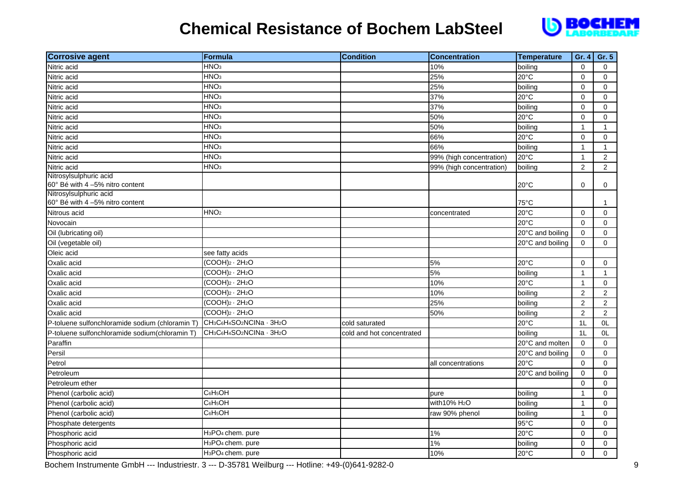

| <b>Corrosive agent</b>                                    | <b>Formula</b>                                                             | <b>Condition</b>          | <b>Concentration</b>      | <b>Temperature</b> | Gr. 4          | Gr. 5          |
|-----------------------------------------------------------|----------------------------------------------------------------------------|---------------------------|---------------------------|--------------------|----------------|----------------|
| Nitric acid                                               | HNO <sub>3</sub>                                                           |                           | 10%                       | boiling            | $\mathbf 0$    | $\Omega$       |
| Nitric acid                                               | HNO <sub>3</sub>                                                           |                           | 25%                       | $20^{\circ}$ C     | $\mathbf 0$    | $\mathbf 0$    |
| Nitric acid                                               | HNO <sub>3</sub>                                                           |                           | 25%                       | boiling            | $\mathbf 0$    | $\Omega$       |
| Nitric acid                                               | HNO <sub>3</sub>                                                           |                           | 37%                       | 20°C               | $\mathbf 0$    | 0              |
| Nitric acid                                               | HNO <sub>3</sub>                                                           |                           | 37%                       | boiling            | $\mathbf 0$    | 0              |
| Nitric acid                                               | HNO <sub>3</sub>                                                           |                           | 50%                       | $20^{\circ}$ C     | $\mathbf 0$    | 0              |
| Nitric acid                                               | HNO <sub>3</sub>                                                           |                           | 50%                       | boiling            | $\mathbf{1}$   | 1              |
| Nitric acid                                               | HNO <sub>3</sub>                                                           |                           | 66%                       | 20°C               | $\mathbf 0$    | 0              |
| Nitric acid                                               | HNO <sub>3</sub>                                                           |                           | 66%                       | boiling            | $\mathbf{1}$   | $\mathbf{1}$   |
| Nitric acid                                               | HNO <sub>3</sub>                                                           |                           | 99% (high concentration)  | 20°C               | $\mathbf{1}$   | $\overline{c}$ |
| Nitric acid                                               | HNO <sub>3</sub>                                                           |                           | 99% (high concentration)  | boiling            | 2              | $\overline{2}$ |
| Nitrosylsulphuric acid<br>60° Bé with 4 -5% nitro content |                                                                            |                           |                           | 20°C               | 0              | 0              |
| Nitrosylsulphuric acid<br>60° Bé with 4 -5% nitro content |                                                                            |                           |                           | 75°C               |                | 1              |
| Nitrous acid                                              | HNO <sub>2</sub>                                                           |                           | concentrated              | $20^{\circ}$ C     | $\mathbf 0$    | 0              |
| Novocain                                                  |                                                                            |                           |                           | 20°C               | $\mathbf 0$    | 0              |
| Oil (lubricating oil)                                     |                                                                            |                           |                           | 20°C and boiling   | $\mathbf 0$    | 0              |
| Oil (vegetable oil)                                       |                                                                            |                           |                           | 20°C and boiling   | $\mathbf 0$    | $\Omega$       |
| Oleic acid                                                | see fatty acids                                                            |                           |                           |                    |                |                |
| Oxalic acid                                               | $(COOH)2 \cdot 2H2O$                                                       |                           | 5%                        | 20°C               | $\mathbf 0$    | $\mathbf 0$    |
| Oxalic acid                                               | $(COOH)2 \cdot 2H2O$                                                       |                           | 5%                        | boiling            | $\mathbf{1}$   | $\mathbf{1}$   |
| Oxalic acid                                               | $(COOH)2 \cdot 2H2O$                                                       |                           | 10%                       | 20°C               | $\mathbf{1}$   | $\mathbf 0$    |
| Oxalic acid                                               | $(COOH)2 \cdot 2H2O$                                                       |                           | 10%                       | boiling            | $\overline{2}$ | $\overline{2}$ |
| Oxalic acid                                               | $(COOH)2 \cdot 2H2O$                                                       |                           | 25%                       | boiling            | $\overline{2}$ | $\overline{2}$ |
| Oxalic acid                                               | $(COOH)2 \cdot 2H2O$                                                       |                           | 50%                       | boiling            | $\overline{2}$ | $\overline{2}$ |
| P-toluene sulfonchloramide sodium (chloramin T)           | CH <sub>3</sub> C6H <sub>4</sub> SO <sub>2</sub> NCINa · 3H <sub>2</sub> O | cold saturated            |                           | 20°C               | 1L             | 0L             |
| P-toluene sulfonchloramide sodium(chloramin T)            | CH <sub>3</sub> C6H <sub>4</sub> SO <sub>2</sub> NCINa · 3H <sub>2</sub> O | cold and hot concentrated |                           | boiling            | 1L             | 0L             |
| Paraffin                                                  |                                                                            |                           |                           | 20°C and molten    | $\mathbf 0$    | $\mathbf 0$    |
| Persil                                                    |                                                                            |                           |                           | 20°C and boiling   | $\mathbf 0$    | 0              |
| Petrol                                                    |                                                                            |                           | all concentrations        | 20°C               | $\mathbf 0$    | $\mathbf 0$    |
| Petroleum                                                 |                                                                            |                           |                           | 20°C and boiling   | $\mathbf 0$    | $\overline{0}$ |
| Petroleum ether                                           |                                                                            |                           |                           |                    | $\mathbf 0$    | 0              |
| Phenol (carbolic acid)                                    | C <sub>6</sub> H <sub>5</sub> OH                                           |                           | pure                      | boiling            | $\mathbf{1}$   | 0              |
| Phenol (carbolic acid)                                    | C <sub>6</sub> H <sub>5</sub> OH                                           |                           | with 10% H <sub>2</sub> O | boiling            | $\mathbf{1}$   | 0              |
| Phenol (carbolic acid)                                    | C <sub>6</sub> H <sub>5</sub> OH                                           |                           | raw 90% phenol            | boiling            | $\mathbf{1}$   | $\mathbf 0$    |
| Phosphate detergents                                      |                                                                            |                           |                           | 95°C               | $\mathbf 0$    | $\mathbf 0$    |
| Phosphoric acid                                           | H <sub>3</sub> PO <sub>4</sub> chem. pure                                  |                           | 1%                        | $20^{\circ}$ C     | 0              | 0              |
| Phosphoric acid                                           | H <sub>3</sub> PO <sub>4</sub> chem. pure                                  |                           | 1%                        | boiling            | $\mathbf 0$    | 0              |
| Phosphoric acid                                           | H <sub>3</sub> PO <sub>4</sub> chem. pure                                  |                           | 10%                       | 20°C               | $\mathbf 0$    | 0              |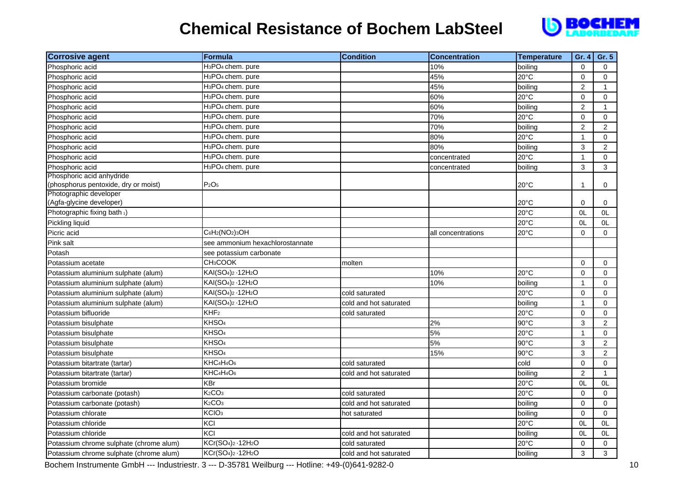

| <b>Corrosive agent</b>                                            | <b>Formula</b>                                          | <b>Condition</b>       | <b>Concentration</b> | <b>Temperature</b> | Gr. 4                | Gr. 5          |
|-------------------------------------------------------------------|---------------------------------------------------------|------------------------|----------------------|--------------------|----------------------|----------------|
| Phosphoric acid                                                   | H <sub>3</sub> PO <sub>4</sub> chem. pure               |                        | 10%                  | boiling            | $\mathbf 0$          | $\Omega$       |
| Phosphoric acid                                                   | H <sub>3</sub> PO <sub>4</sub> chem. pure               |                        | 45%                  | $20^{\circ}$ C     | $\Omega$             | $\Omega$       |
| Phosphoric acid                                                   | $\overline{H_3}PO_4$ chem. pure                         |                        | 45%                  | boiling            | $\overline{2}$       | $\mathbf{1}$   |
| Phosphoric acid                                                   | H <sub>3</sub> PO <sub>4</sub> chem. pure               |                        | 60%                  | 20°C               | $\Omega$             | $\Omega$       |
| Phosphoric acid                                                   | H <sub>3</sub> PO <sub>4</sub> chem. pure               |                        | 60%                  | boiling            | $\overline{2}$       | $\mathbf{1}$   |
| Phosphoric acid                                                   | H <sub>3</sub> PO <sub>4</sub> chem. pure               |                        | 70%                  | 20°C               | 0                    | 0              |
| Phosphoric acid                                                   | $\overline{H_3}$ PO <sub>4</sub> chem. pure             |                        | 70%                  | boiling            | $\overline{2}$       | $\overline{2}$ |
| Phosphoric acid                                                   | H <sub>3</sub> PO <sub>4</sub> chem. pure               |                        | 80%                  | $20^{\circ}$ C     | $\mathbf{1}$         | $\mathbf 0$    |
| Phosphoric acid                                                   | H <sub>3</sub> PO <sub>4</sub> chem. pure               |                        | 80%                  | boiling            | 3                    | $\overline{2}$ |
| Phosphoric acid                                                   | H <sub>3</sub> PO <sub>4</sub> chem. pure               |                        | concentrated         | $20^{\circ}$ C     | $\mathbf{1}$         | $\mathbf 0$    |
| Phosphoric acid                                                   | H <sub>3</sub> PO <sub>4</sub> chem. pure               |                        | concentrated         | boiling            | 3                    | 3              |
| Phosphoric acid anhydride<br>(phosphorus pentoxide, dry or moist) | P <sub>2</sub> O <sub>5</sub>                           |                        |                      | 20°C               | $\blacktriangleleft$ | 0              |
| Photographic developer<br>(Agfa-glycine developer)                |                                                         |                        |                      | $20^{\circ}$ C     | 0                    | 0              |
| Photographic fixing bath 1)                                       |                                                         |                        |                      | 20°C               | 0L                   | 0L             |
| Pickling liquid                                                   |                                                         |                        |                      | 20°C               | 0L                   | 0L             |
| Picric acid                                                       | $C_6H_2(NO_2)_3OH$                                      |                        | all concentrations   | $20^{\circ}$ C     | $\mathbf 0$          | $\Omega$       |
| Pink salt                                                         | see ammonium hexachlorostannate                         |                        |                      |                    |                      |                |
| Potash                                                            | see potassium carbonate                                 |                        |                      |                    |                      |                |
| Potassium acetate                                                 | CH <sub>3</sub> COOK                                    | molten                 |                      |                    | $\Omega$             | $\Omega$       |
| Potassium aluminium sulphate (alum)                               | KAI(SO <sub>4</sub> ) <sub>2</sub> - 12H <sub>2</sub> O |                        | 10%                  | 20°C               | $\mathbf 0$          | $\Omega$       |
| Potassium aluminium sulphate (alum)                               | KAI(SO <sub>4</sub> ) <sub>2</sub> - 12H <sub>2</sub> O |                        | 10%                  | boiling            | $\mathbf{1}$         | $\Omega$       |
| Potassium aluminium sulphate (alum)                               | KAI(SO <sub>4</sub> ) <sub>2</sub> - 12H <sub>2</sub> O | cold saturated         |                      | 20°C               | $\mathbf 0$          | 0              |
| Potassium aluminium sulphate (alum)                               | KAI(SO <sub>4</sub> ) <sub>2</sub> - 12H <sub>2</sub> O | cold and hot saturated |                      | boiling            | $\mathbf{1}$         | $\overline{0}$ |
| Potassium bifluoride                                              | KHF <sub>2</sub>                                        | cold saturated         |                      | $20^{\circ}$ C     | 0                    | $\Omega$       |
| Potassium bisulphate                                              | KHSO <sub>4</sub>                                       |                        | 2%                   | 90°C               | 3                    | $\overline{2}$ |
| Potassium bisulphate                                              | KHSO <sub>4</sub>                                       |                        | 5%                   | 20°C               | $\mathbf{1}$         | 0              |
| Potassium bisulphate                                              | KHSO <sub>4</sub>                                       |                        | 5%                   | $90^{\circ}$ C     | 3                    | $\overline{2}$ |
| Potassium bisulphate                                              | KHSO <sub>4</sub>                                       |                        | 15%                  | $90^{\circ}$ C     | 3                    | $\overline{2}$ |
| Potassium bitartrate (tartar)                                     | KHC <sub>4</sub> H <sub>4</sub> O <sub>6</sub>          | cold saturated         |                      | cold               | $\mathbf 0$          | $\mathbf 0$    |
| Potassium bitartrate (tartar)                                     | KHC <sub>4</sub> H <sub>4</sub> O <sub>6</sub>          | cold and hot saturated |                      | boiling            | $\overline{2}$       | $\mathbf{1}$   |
| Potassium bromide                                                 | <b>KBr</b>                                              |                        |                      | $20^{\circ}$ C     | OL                   | 0L             |
| Potassium carbonate (potash)                                      | K <sub>2</sub> CO <sub>3</sub>                          | cold saturated         |                      | 20°C               | $\mathbf 0$          | $\Omega$       |
| Potassium carbonate (potash)                                      | K <sub>2</sub> CO <sub>3</sub>                          | cold and hot saturated |                      | boiling            | $\mathbf 0$          | $\mathbf 0$    |
| Potassium chlorate                                                | KCIO <sub>3</sub>                                       | hot saturated          |                      | boiling            | $\Omega$             | $\Omega$       |
| Potassium chloride                                                | KCI                                                     |                        |                      | 20°C               | 0L                   | 0L             |
| Potassium chloride                                                | KCI                                                     | cold and hot saturated |                      | boiling            | 0L                   | 0L             |
| Potassium chrome sulphate (chrome alum)                           | KCr(SO <sub>4</sub> ) <sub>2</sub> - 12H <sub>2</sub> O | cold saturated         |                      | 20°C               | $\mathbf 0$          | $\mathbf 0$    |
| Potassium chrome sulphate (chrome alum)                           | KCr(SO <sub>4</sub> ) <sub>2</sub> - 12H <sub>2</sub> O | cold and hot saturated |                      | boiling            | 3                    | 3              |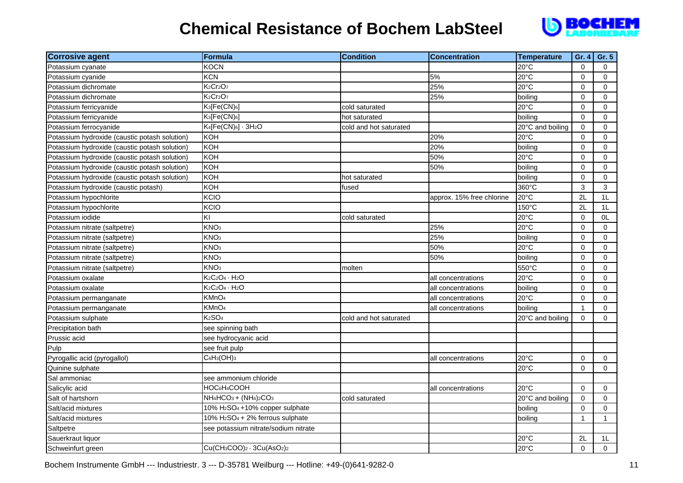

| <b>Corrosive agent</b>                        | <b>Formula</b>                                                                     | <b>Condition</b>       | <b>Concentration</b>      | <b>Temperature</b> | Gr. 4        | Gr. 5        |
|-----------------------------------------------|------------------------------------------------------------------------------------|------------------------|---------------------------|--------------------|--------------|--------------|
| Potassium cyanate                             | KOCN                                                                               |                        |                           | $20^{\circ}$ C     | $\mathbf 0$  | $\Omega$     |
| Potassium cyanide                             | <b>KCN</b>                                                                         |                        | 5%                        | $20^{\circ}$ C     | $\pmb{0}$    | $\Omega$     |
| Potassium dichromate                          | K <sub>2</sub> Cr <sub>2</sub> O <sub>7</sub>                                      |                        | 25%                       | 20°C               | $\mathbf 0$  | $\mathbf 0$  |
| Potassium dichromate                          | K <sub>2</sub> Cr <sub>2</sub> O <sub>7</sub>                                      |                        | 25%                       | boiling            | $\pmb{0}$    | 0            |
| Potassium ferricyanide                        | K <sub>3</sub> [Fe(CN) <sub>6</sub> ]                                              | cold saturated         |                           | $20^{\circ}$ C     | $\mathbf 0$  | $\mathbf 0$  |
| Potassium ferricyanide                        | K <sub>3</sub> [Fe(CN) <sub>6</sub> ]                                              | hot saturated          |                           | boiling            | $\Omega$     | $\Omega$     |
| Potassium ferrocyanide                        | $K_4[Fe(CN)_6] \cdot 3H_2O$                                                        | cold and hot saturated |                           | 20°C and boiling   | $\Omega$     | $\Omega$     |
| Potassium hydroxide (caustic potash solution) | <b>KOH</b>                                                                         |                        | 20%                       | 20°C               | $\mathbf 0$  | $\mathbf 0$  |
| Potassium hydroxide (caustic potash solution) | <b>KOH</b>                                                                         |                        | 20%                       | boiling            | $\mathbf 0$  | $\mathbf 0$  |
| Potassium hydroxide (caustic potash solution) | KOH                                                                                |                        | 50%                       | $20^{\circ}$ C     | $\mathbf 0$  | $\mathbf 0$  |
| Potassium hydroxide (caustic potash solution) | KOH                                                                                |                        | 50%                       | boiling            | $\mathbf 0$  | 0            |
| Potassium hydroxide (caustic potash solution) | KOH                                                                                | hot saturated          |                           | boiling            | $\mathbf 0$  | $\mathbf 0$  |
| Potassium hydroxide (caustic potash)          | KOH                                                                                | fused                  |                           | 360°C              | 3            | 3            |
| Potassium hypochlorite                        | KCIO                                                                               |                        | approx. 15% free chlorine | 20°C               | 2L           | 1L           |
| Potassium hypochlorite                        | KCIO                                                                               |                        |                           | 150°C              | 2L           | 1L           |
| Potassium iodide                              | ΚI                                                                                 | cold saturated         |                           | $20^{\circ}$ C     | $\mathbf 0$  | 0L           |
| Potassium nitrate (saltpetre)                 | KNO <sub>3</sub>                                                                   |                        | 25%                       | $20^{\circ}$ C     | $\mathbf 0$  | $\Omega$     |
| Potassium nitrate (saltpetre)                 | KNO <sub>3</sub>                                                                   |                        | 25%                       | boiling            | $\mathbf 0$  | $\Omega$     |
| Potassium nitrate (saltpetre)                 | KNO <sub>3</sub>                                                                   |                        | 50%                       | 20°C               | 0            | 0            |
| Potassium nitrate (saltpetre)                 | KNO <sub>3</sub>                                                                   |                        | 50%                       | boiling            | $\mathbf 0$  | $\mathbf 0$  |
| Potassium nitrate (saltpetre)                 | KNO <sub>3</sub>                                                                   | molten                 |                           | 550°C              | $\mathbf 0$  | $\mathbf 0$  |
| Potassium oxalate                             | $K_2C_2O_4 \cdot H_2O$                                                             |                        | all concentrations        | 20°C               | $\mathbf 0$  | 0            |
| Potassium oxalate                             | $K_2C_2O_4 \cdot H_2O$                                                             |                        | all concentrations        | boiling            | $\Omega$     | 0            |
| Potassium permanganate                        | KMnO <sub>4</sub>                                                                  |                        | all concentrations        | 20°C               | $\Omega$     | $\Omega$     |
| Potassium permanganate                        | KMnO <sub>4</sub>                                                                  |                        | all concentrations        | boiling            | $\mathbf{1}$ | 0            |
| Potassium sulphate                            | K <sub>2</sub> SO <sub>4</sub>                                                     | cold and hot saturated |                           | 20°C and boiling   | $\mathbf 0$  | $\mathbf 0$  |
| Precipitation bath                            | see spinning bath                                                                  |                        |                           |                    |              |              |
| Prussic acid                                  | see hydrocyanic acid                                                               |                        |                           |                    |              |              |
| Pulp                                          | see fruit pulp                                                                     |                        |                           |                    |              |              |
| Pyrogallic acid (pyrogallol)                  | $C_6H_3(OH)_3$                                                                     |                        | all concentrations        | 20°C               | 0            | 0            |
| Quinine sulphate                              |                                                                                    |                        |                           | 20°C               | $\mathbf 0$  | $\mathbf 0$  |
| Sal ammoniac                                  | see ammonium chloride                                                              |                        |                           |                    |              |              |
| Salicylic acid                                | HOC <sub>6</sub> H <sub>4</sub> COOH                                               |                        | all concentrations        | $20^{\circ}$ C     | $\mathbf 0$  | $\mathbf 0$  |
| Salt of hartshorn                             | NH <sub>4</sub> HCO <sub>3</sub> + (NH <sub>4</sub> ) <sub>2</sub> CO <sub>3</sub> | cold saturated         |                           | 20°C and boiling   | 0            | 0            |
| Salt/acid mixtures                            | 10% H <sub>2</sub> SO <sub>4</sub> +10% copper sulphate                            |                        |                           | boiling            | $\Omega$     | $\Omega$     |
| Salt/acid mixtures                            | 10% H <sub>2</sub> SO <sub>4</sub> + 2% ferrous sulphate                           |                        |                           | boiling            | $\mathbf{1}$ | $\mathbf{1}$ |
| Saltpetre                                     | see potassium nitrate/sodium nitrate                                               |                        |                           |                    |              |              |
| Sauerkraut liquor                             |                                                                                    |                        |                           | 20°C               | 2L           | 1L           |
| Schweinfurt green                             | Cu(CH <sub>3</sub> COO) <sub>2</sub> · 3Cu(AsO <sub>2</sub> ) <sub>2</sub>         |                        |                           | 20°C               | $\mathbf 0$  | $\mathbf 0$  |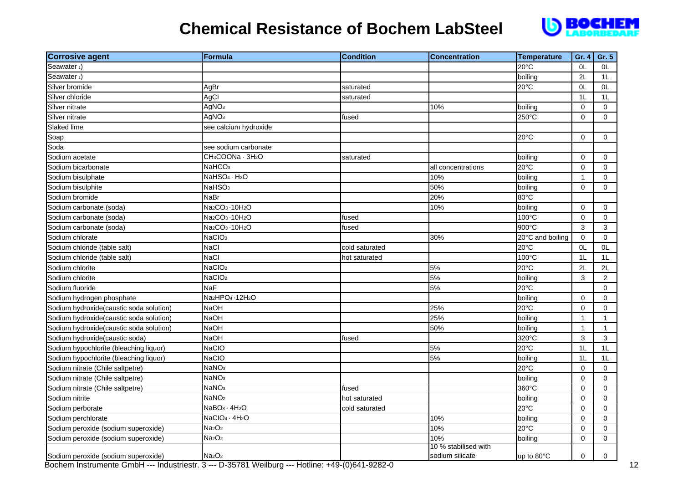

| <b>Corrosive agent</b>                   | <b>Formula</b>                                        | <b>Condition</b> | <b>Concentration</b>                    | <b>Temperature</b>   | Gr. 4          | Gr. 5               |
|------------------------------------------|-------------------------------------------------------|------------------|-----------------------------------------|----------------------|----------------|---------------------|
| Seawater <sub>1</sub> )                  |                                                       |                  |                                         | 20°C                 | 0L             | 0L                  |
| Seawater <sub>1</sub> )                  |                                                       |                  |                                         | boiling              | 2L             | 1L                  |
| Silver bromide                           | AgBr                                                  | saturated        |                                         | $20^{\circ}$ C       | 0L             | OL                  |
| Silver chloride                          | AgCl                                                  | saturated        |                                         |                      | 1 <sub>L</sub> | 1L                  |
| Silver nitrate                           | AgNO <sub>3</sub>                                     |                  | 10%                                     | boiling              | $\mathbf 0$    | $\mathbf 0$         |
| Silver nitrate                           | AgNO <sub>3</sub>                                     | fused            |                                         | 250°C                | $\mathbf 0$    | $\mathbf 0$         |
| Slaked lime                              | see calcium hydroxide                                 |                  |                                         |                      |                |                     |
| Soap                                     |                                                       |                  |                                         | $20^{\circ}$ C       | $\mathbf 0$    | $\mathsf{O}\xspace$ |
| Soda                                     | see sodium carbonate                                  |                  |                                         |                      |                |                     |
| Sodium acetate                           | CH <sub>3</sub> COONa · 3H <sub>2</sub> O             | saturated        |                                         | boiling              | $\mathbf 0$    | 0                   |
| Sodium bicarbonate                       | NaHCO <sub>3</sub>                                    |                  | all concentrations                      | 20°C                 | $\mathbf 0$    | $\mathbf 0$         |
| Sodium bisulphate                        | NaHSO <sub>4</sub> · H <sub>2</sub> O                 |                  | 10%                                     | boiling              | $\mathbf{1}$   | 0                   |
| Sodium bisulphite                        | NaHSO <sub>3</sub>                                    |                  | 50%                                     | boiling              | $\Omega$       | $\Omega$            |
| Sodium bromide                           | NaBr                                                  |                  | 20%                                     | 80°C                 |                |                     |
| Sodium carbonate (soda)                  | Na <sub>2</sub> CO <sub>3</sub> -10H <sub>2</sub> O   |                  | 10%                                     | boiling              | $\mathbf 0$    | $\mathbf 0$         |
| Sodium carbonate (soda)                  | Na2CO3 -10H2O                                         | fused            |                                         | $100^{\circ}$ C      | $\mathbf 0$    | $\mathbf 0$         |
| Sodium carbonate (soda)                  | Na <sub>2</sub> CO <sub>3</sub> -10H <sub>2</sub> O   | fused            |                                         | $900^{\circ}$ C      | 3              | 3                   |
| Sodium chlorate                          | NaCIO <sub>3</sub>                                    |                  | 30%                                     | 20°C and boiling     | $\mathbf 0$    | 0                   |
| Sodium chloride (table salt)             | NaCl                                                  | cold saturated   |                                         | 20°C                 | OL             | OL                  |
| Sodium chloride (table salt)             | <b>NaCl</b>                                           | hot saturated    |                                         | $100^{\circ}$ C      | 1 <sub>L</sub> | 1 <sub>L</sub>      |
| Sodium chlorite                          | NaCIO <sub>2</sub>                                    |                  | 5%                                      | 20°C                 | 2L             | 2L                  |
| Sodium chlorite                          | NaCIO <sub>2</sub>                                    |                  | 5%                                      | boiling              | 3              | $\overline{2}$      |
| Sodium fluoride                          | NaF                                                   |                  | 5%                                      | 20°C                 |                | 0                   |
| Sodium hydrogen phosphate                | Na <sub>2</sub> HPO <sub>4</sub> - 12H <sub>2</sub> O |                  |                                         | boiling              | $\Omega$       | $\Omega$            |
| Sodium hydroxide(caustic soda solution)  | NaOH                                                  |                  | 25%                                     | 20°C                 | $\mathbf 0$    | $\mathbf 0$         |
| Sodium hydroxide (caustic soda solution) | NaOH                                                  |                  | 25%                                     | boiling              | $\mathbf{1}$   | $\mathbf{1}$        |
| Sodium hydroxide (caustic soda solution) | NaOH                                                  |                  | 50%                                     | boiling              | $\mathbf{1}$   | $\mathbf{1}$        |
| Sodium hydroxide(caustic soda)           | NaOH                                                  | fused            |                                         | 320°C                | 3              | 3                   |
| Sodium hypochlorite (bleaching liquor)   | NaCIO                                                 |                  | 5%                                      | 20°C                 | 1L             | 1L                  |
| Sodium hypochlorite (bleaching liquor)   | NaCIO                                                 |                  | 5%                                      | boiling              | 1L             | 1L                  |
| Sodium nitrate (Chile saltpetre)         | NaNO <sub>3</sub>                                     |                  |                                         | 20°C                 | $\mathbf 0$    | $\mathbf 0$         |
| Sodium nitrate (Chile saltpetre)         | NaNO <sub>3</sub>                                     |                  |                                         | boiling              | $\mathbf 0$    | $\mathbf 0$         |
| Sodium nitrate (Chile saltpetre)         | NaNO <sub>3</sub>                                     | fused            |                                         | 360°C                | $\mathbf 0$    | $\mathbf 0$         |
| Sodium nitrite                           | NaNO <sub>2</sub>                                     | hot saturated    |                                         | boiling              | $\mathbf 0$    | 0                   |
| Sodium perborate                         | NaBO <sub>3</sub> · 4H <sub>2</sub> O                 | cold saturated   |                                         | 20°C                 | $\mathbf 0$    | $\Omega$            |
| Sodium perchlorate                       | NaCIO <sub>4</sub> · 4H <sub>2</sub> O                |                  | 10%                                     | boiling              | $\mathbf 0$    | $\Omega$            |
| Sodium peroxide (sodium superoxide)      | Na <sub>2</sub> O <sub>2</sub>                        |                  | 10%                                     | 20°C                 | $\mathbf 0$    | $\mathbf 0$         |
| Sodium peroxide (sodium superoxide)      | Na <sub>2</sub> O <sub>2</sub>                        |                  | 10%                                     | boiling              | $\mathbf 0$    | $\mathbf 0$         |
| Sodium peroxide (sodium superoxide)      | Na <sub>2</sub> O <sub>2</sub>                        |                  | 10 % stabilised with<br>sodium silicate | up to $80^{\circ}$ C | 0              | 0                   |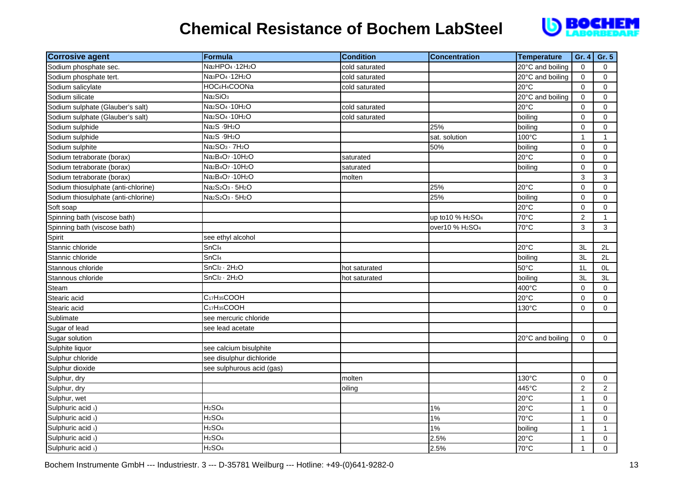

| <b>Corrosive agent</b>              | Formula                                                            | <b>Condition</b> | <b>Concentration</b>                      | <b>Temperature</b> | Gr. 4          | Gr. 5          |
|-------------------------------------|--------------------------------------------------------------------|------------------|-------------------------------------------|--------------------|----------------|----------------|
| Sodium phosphate sec.               | Na2HPO4 · 12H2O                                                    | cold saturated   |                                           | 20°C and boiling   | $\mathbf 0$    | $\overline{0}$ |
| Sodium phosphate tert.              | Na <sub>3</sub> PO <sub>4</sub> - 12H <sub>2</sub> O               | cold saturated   |                                           | 20°C and boiling   | $\mathbf 0$    | $\mathsf{O}$   |
| Sodium salicylate                   | HOC6H4COONa                                                        | cold saturated   |                                           | $20^{\circ}$ C     | $\Omega$       | $\Omega$       |
| Sodium silicate                     | Na <sub>2</sub> SiO <sub>3</sub>                                   |                  |                                           | 20°C and boiling   | $\pmb{0}$      | $\mathsf{O}$   |
| Sodium sulphate (Glauber's salt)    | Na <sub>2</sub> SO <sub>4</sub> - 10H <sub>2</sub> O               | cold saturated   |                                           | 20°C               | $\pmb{0}$      | 0              |
| Sodium sulphate (Glauber's salt)    | Na <sub>2</sub> SO <sub>4</sub> - 10H <sub>2</sub> O               | cold saturated   |                                           | boiling            | $\pmb{0}$      | 0              |
| Sodium sulphide                     | Na <sub>2</sub> S - 9H <sub>2</sub> O                              |                  | 25%                                       | boiling            | $\mathbf 0$    | $\mathbf 0$    |
| Sodium sulphide                     | Na <sub>2</sub> S - 9H <sub>2</sub> O                              |                  | sat. solution                             | 100°C              | $\mathbf{1}$   | $\mathbf{1}$   |
| Sodium sulphite                     | Na <sub>2</sub> SO <sub>3</sub> · 7H <sub>2</sub> O                |                  | 50%                                       | boiling            | $\pmb{0}$      | $\mathbf 0$    |
| Sodium tetraborate (borax)          | Na <sub>2</sub> B <sub>4</sub> O <sub>7</sub> - 10H <sub>2</sub> O | saturated        |                                           | 20°C               | $\mathbf 0$    | 0              |
| Sodium tetraborate (borax)          | Na <sub>2</sub> B <sub>4</sub> O <sub>7</sub> - 10H <sub>2</sub> O | saturated        |                                           | boiling            | $\mathbf 0$    | $\mathsf{O}$   |
| Sodium tetraborate (borax)          | Na <sub>2</sub> B <sub>4</sub> O <sub>7</sub> - 10H <sub>2</sub> O | molten           |                                           |                    | $\mathfrak{S}$ | $\mathfrak{S}$ |
| Sodium thiosulphate (anti-chlorine) | Na <sub>2</sub> S <sub>2</sub> O <sub>3</sub> · 5H <sub>2</sub> O  |                  | 25%                                       | 20°C               | $\pmb{0}$      | 0              |
| Sodium thiosulphate (anti-chlorine) | Na <sub>2</sub> S <sub>2</sub> O <sub>3</sub> · 5H <sub>2</sub> O  |                  | 25%                                       | boiling            | $\pmb{0}$      | $\mathbf 0$    |
| Soft soap                           |                                                                    |                  |                                           | 20°C               | $\mathbf 0$    | $\mathbf 0$    |
| Spinning bath (viscose bath)        |                                                                    |                  | up to 10 % H <sub>2</sub> SO <sub>4</sub> | 70°C               | $\overline{c}$ | $\mathbf{1}$   |
| Spinning bath (viscose bath)        |                                                                    |                  | over10 % H <sub>2</sub> SO <sub>4</sub>   | 70°C               | 3              | 3              |
| Spirit                              | see ethyl alcohol                                                  |                  |                                           |                    |                |                |
| Stannic chloride                    | SnCl <sub>4</sub>                                                  |                  |                                           | $20^{\circ}$ C     | 3L             | 2L             |
| Stannic chloride                    | SnCl <sub>4</sub>                                                  |                  |                                           | boiling            | 3L             | 2L             |
| Stannous chloride                   | SnCl <sub>2</sub> · 2H <sub>2</sub> O                              | hot saturated    |                                           | 50°C               | 1L             | 0L             |
| Stannous chloride                   | SnCl <sub>2</sub> · 2H <sub>2</sub> O                              | hot saturated    |                                           | boiling            | 3L             | 3L             |
| Steam                               |                                                                    |                  |                                           | 400°C              | $\mathbf 0$    | $\Omega$       |
| Stearic acid                        | C <sub>17</sub> H <sub>35</sub> COOH                               |                  |                                           | 20°C               | $\mathbf 0$    | $\mathbf 0$    |
| Stearic acid                        | C <sub>17</sub> H <sub>35</sub> COOH                               |                  |                                           | 130°C              | $\pmb{0}$      | $\mathsf{O}$   |
| Sublimate                           | see mercuric chloride                                              |                  |                                           |                    |                |                |
| Sugar of lead                       | see lead acetate                                                   |                  |                                           |                    |                |                |
| Sugar solution                      |                                                                    |                  |                                           | 20°C and boiling   | $\Omega$       | 0              |
| Sulphite liquor                     | see calcium bisulphite                                             |                  |                                           |                    |                |                |
| Sulphur chloride                    | see disulphur dichloride                                           |                  |                                           |                    |                |                |
| Sulphur dioxide                     | see sulphurous acid (gas)                                          |                  |                                           |                    |                |                |
| Sulphur, dry                        |                                                                    | molten           |                                           | 130°C              | $\pmb{0}$      | $\Omega$       |
| Sulphur, dry                        |                                                                    | oiling           |                                           | 445°C              | $\mathbf{2}$   | $\overline{2}$ |
| Sulphur, wet                        |                                                                    |                  |                                           | 20°C               | $\mathbf{1}$   | $\mathbf 0$    |
| Sulphuric acid 1)                   | H <sub>2</sub> SO <sub>4</sub>                                     |                  | 1%                                        | 20°C               | $\mathbf{1}$   | $\mathbf 0$    |
| Sulphuric acid 1)                   | H <sub>2</sub> SO <sub>4</sub>                                     |                  | 1%                                        | 70°C               | $\mathbf{1}$   | $\mathbf 0$    |
| Sulphuric acid 1)                   | H <sub>2</sub> SO <sub>4</sub>                                     |                  | 1%                                        | boiling            | $\mathbf{1}$   | $\mathbf{1}$   |
| Sulphuric acid 1)                   | H <sub>2</sub> SO <sub>4</sub>                                     |                  | 2.5%                                      | 20°C               | $\mathbf{1}$   | $\mathbf 0$    |
| Sulphuric acid 1)                   | H <sub>2</sub> SO <sub>4</sub>                                     |                  | 2.5%                                      | 70°C               | $\mathbf{1}$   | $\Omega$       |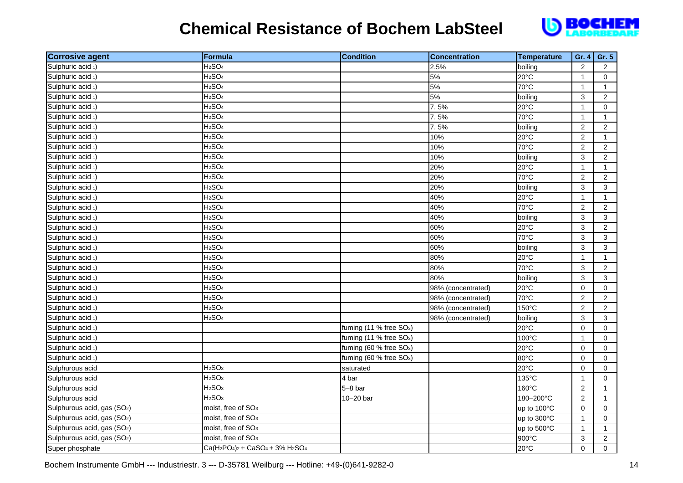

| <b>Corrosive agent</b>                  | Formula                                                                                                  | <b>Condition</b>                    | <b>Concentration</b> | <b>Temperature</b> | Gr. 4          | Gr. 5          |
|-----------------------------------------|----------------------------------------------------------------------------------------------------------|-------------------------------------|----------------------|--------------------|----------------|----------------|
| Sulphuric acid 1)                       | H <sub>2</sub> SO <sub>4</sub>                                                                           |                                     | 2.5%                 | boiling            | $\overline{2}$ | $\overline{2}$ |
| Sulphuric acid 1)                       | H <sub>2</sub> SO <sub>4</sub>                                                                           |                                     | 5%                   | $20^{\circ}$ C     | $\mathbf{1}$   | $\Omega$       |
| Sulphuric acid 1)                       | H <sub>2</sub> SO <sub>4</sub>                                                                           |                                     | 5%                   | 70°C               | $\mathbf{1}$   | $\mathbf{1}$   |
| Sulphuric acid 1)                       | H <sub>2</sub> SO <sub>4</sub>                                                                           |                                     | 5%                   | boiling            | 3              | $\overline{2}$ |
| Sulphuric acid 1)                       | H <sub>2</sub> SO <sub>4</sub>                                                                           |                                     | 7.5%                 | 20°C               | $\mathbf{1}$   | $\mathbf 0$    |
| Sulphuric acid 1)                       | H <sub>2</sub> SO <sub>4</sub>                                                                           |                                     | 7.5%                 | 70°C               | $\mathbf{1}$   | $\mathbf{1}$   |
| Sulphuric acid 1)                       | H <sub>2</sub> SO <sub>4</sub>                                                                           |                                     | 7.5%                 | boiling            | $\overline{2}$ | $\overline{2}$ |
| Sulphuric acid 1)                       | H <sub>2</sub> SO <sub>4</sub>                                                                           |                                     | 10%                  | 20°C               | $\overline{2}$ | $\mathbf{1}$   |
| Sulphuric acid 1)                       | H <sub>2</sub> SO <sub>4</sub>                                                                           |                                     | 10%                  | 70°C               | $\overline{2}$ | $\overline{2}$ |
| Sulphuric acid 1)                       | H <sub>2</sub> SO <sub>4</sub>                                                                           |                                     | 10%                  | boiling            | 3              | $\overline{2}$ |
| Sulphuric acid 1)                       | H <sub>2</sub> SO <sub>4</sub>                                                                           |                                     | 20%                  | 20°C               | $\mathbf{1}$   | $\mathbf{1}$   |
| Sulphuric acid 1)                       | H <sub>2</sub> SO <sub>4</sub>                                                                           |                                     | 20%                  | 70°C               | $\overline{2}$ | $\overline{2}$ |
| Sulphuric acid 1)                       | H <sub>2</sub> SO <sub>4</sub>                                                                           |                                     | 20%                  | boiling            | 3              | 3              |
| Sulphuric acid 1)                       | H <sub>2</sub> SO <sub>4</sub>                                                                           |                                     | 40%                  | 20°C               | $\mathbf{1}$   | $\mathbf{1}$   |
| Sulphuric acid 1)                       | H <sub>2</sub> SO <sub>4</sub>                                                                           |                                     | 40%                  | 70°C               | $\overline{2}$ | $\overline{2}$ |
| Sulphuric acid 1)                       | H <sub>2</sub> SO <sub>4</sub>                                                                           |                                     | 40%                  | boiling            | 3              | 3              |
| Sulphuric acid 1)                       | H <sub>2</sub> SO <sub>4</sub>                                                                           |                                     | 60%                  | $20^{\circ}$ C     | 3              | $\overline{2}$ |
| Sulphuric acid 1)                       | H <sub>2</sub> SO <sub>4</sub>                                                                           |                                     | 60%                  | 70°C               | 3              | 3              |
| Sulphuric acid 1)                       | H <sub>2</sub> SO <sub>4</sub>                                                                           |                                     | 60%                  | boiling            | 3              | 3              |
| Sulphuric acid 1)                       | H <sub>2</sub> SO <sub>4</sub>                                                                           |                                     | 80%                  | 20°C               | $\mathbf{1}$   | $\mathbf{1}$   |
| Sulphuric acid 1)                       | H <sub>2</sub> SO <sub>4</sub>                                                                           |                                     | 80%                  | 70°C               | 3              | $\overline{a}$ |
| Sulphuric acid 1)                       | H <sub>2</sub> SO <sub>4</sub>                                                                           |                                     | 80%                  | boiling            | 3              | 3              |
| Sulphuric acid 1)                       | H <sub>2</sub> SO <sub>4</sub>                                                                           |                                     | 98% (concentrated)   | 20°C               | $\mathsf 0$    | 0              |
| Sulphuric acid 1)                       | H <sub>2</sub> SO <sub>4</sub>                                                                           |                                     | 98% (concentrated)   | 70°C               | $\overline{2}$ | $\overline{c}$ |
| Sulphuric acid 1)                       | H <sub>2</sub> SO <sub>4</sub>                                                                           |                                     | 98% (concentrated)   | 150°C              | $\overline{2}$ | $\overline{2}$ |
| Sulphuric acid 1)                       | H <sub>2</sub> SO <sub>4</sub>                                                                           |                                     | 98% (concentrated)   | boiling            | 3              | 3              |
| Sulphuric acid 1)                       |                                                                                                          | fuming (11 % free SO <sub>3</sub> ) |                      | 20°C               | $\mathbf 0$    | $\Omega$       |
| Sulphuric acid 1)                       |                                                                                                          | fuming (11 % free SO <sub>3</sub> ) |                      | 100°C              | $\mathbf{1}$   | 0              |
| Sulphuric acid 1)                       |                                                                                                          | fuming (60 % free SO <sub>3</sub> ) |                      | 20°C               | $\pmb{0}$      | 0              |
| Sulphuric acid 1)                       |                                                                                                          | fuming (60 % free SO <sub>3</sub> ) |                      | 80°C               | 0              | $\mathbf 0$    |
| Sulphurous acid                         | H <sub>2</sub> SO <sub>3</sub>                                                                           | saturated                           |                      | 20°C               | $\mathbf 0$    | 0              |
| Sulphurous acid                         | H <sub>2</sub> SO <sub>3</sub>                                                                           | 4 bar                               |                      | 135°C              | $\mathbf{1}$   | $\mathbf 0$    |
| Sulphurous acid                         | H <sub>2</sub> SO <sub>3</sub>                                                                           | $5-8$ bar                           |                      | 160°C              | $\overline{2}$ | $\mathbf{1}$   |
| Sulphurous acid                         | H <sub>2</sub> SO <sub>3</sub>                                                                           | 10-20 bar                           |                      | 180-200°C          | $\overline{2}$ | $\mathbf{1}$   |
| Sulphurous acid, gas (SO <sub>2</sub> ) | moist, free of SO <sub>3</sub>                                                                           |                                     |                      | up to 100°C        | $\mathbf 0$    | $\mathbf 0$    |
| Sulphurous acid, gas (SO <sub>2</sub> ) | moist, free of SO <sub>3</sub>                                                                           |                                     |                      | up to 300°C        | $\mathbf{1}$   | $\mathbf 0$    |
| Sulphurous acid, gas (SO <sub>2</sub> ) | moist, free of SO <sub>3</sub>                                                                           |                                     |                      | up to 500°C        | $\mathbf{1}$   | $\mathbf{1}$   |
| Sulphurous acid, gas (SO <sub>2</sub> ) | moist, free of SO <sub>3</sub>                                                                           |                                     |                      | 900°C              | 3              | 2              |
| Super phosphate                         | Ca(H <sub>2</sub> PO <sub>4</sub> ) <sub>2</sub> + CaSO <sub>4</sub> + 3% H <sub>2</sub> SO <sub>4</sub> |                                     |                      | 20°C               | $\Omega$       | $\Omega$       |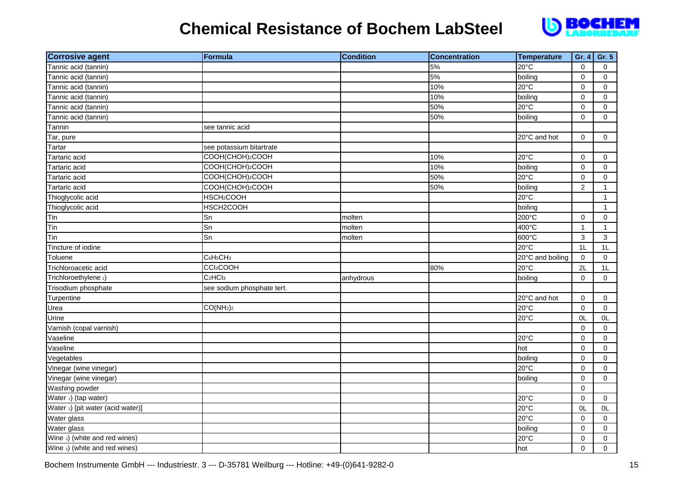

| <b>Corrosive agent</b>            | Formula                           | <b>Condition</b> | <b>Concentration</b> | Temperature      | Gr. 4        | Gr. 5          |
|-----------------------------------|-----------------------------------|------------------|----------------------|------------------|--------------|----------------|
| Tannic acid (tannin)              |                                   |                  | 5%                   | 20°C             | $\mathbf 0$  | $\mathbf 0$    |
| Tannic acid (tannin)              |                                   |                  | 5%                   | boiling          | $\pmb{0}$    | $\mathbf 0$    |
| Tannic acid (tannin)              |                                   |                  | 10%                  | 20°C             | $\mathbf 0$  | $\mathbf 0$    |
| Tannic acid (tannin)              |                                   |                  | 10%                  | boiling          | $\mathbf 0$  | $\mathbf 0$    |
| Tannic acid (tannin)              |                                   |                  | 50%                  | 20°C             | $\mathbf 0$  | $\mathbf 0$    |
| Tannic acid (tannin)              |                                   |                  | 50%                  | boiling          | $\Omega$     | $\mathbf 0$    |
| Tannin                            | see tannic acid                   |                  |                      |                  |              |                |
| Tar, pure                         |                                   |                  |                      | 20°C and hot     | $\mathbf 0$  | 0              |
| Tartar                            | see potassium bitartrate          |                  |                      |                  |              |                |
| Tartaric acid                     | COOH(CHOH)2COOH                   |                  | 10%                  | 20°C             | $\mathbf 0$  | $\mathbf 0$    |
| Tartaric acid                     | COOH(CHOH)2COOH                   |                  | 10%                  | boiling          | $\mathbf 0$  | $\mathbf 0$    |
| Tartaric acid                     | COOH(CHOH)2COOH                   |                  | 50%                  | $20^{\circ}$ C   | $\mathbf 0$  | $\mathbf 0$    |
| Tartaric acid                     | COOH(CHOH)2COOH                   |                  | 50%                  | boiling          | $\mathbf{2}$ | $\mathbf{1}$   |
| Thioglycolic acid                 | HSCH <sub>2</sub> COOH            |                  |                      | 20°C             |              | $\mathbf{1}$   |
| Thioglycolic acid                 | HSCH2COOH                         |                  |                      | boiling          |              | $\mathbf{1}$   |
| Tin                               | Sn                                | molten           |                      | 200°C            | $\mathbf 0$  | $\mathbf 0$    |
| Tin                               | Sn                                | molten           |                      | 400°C            | $\mathbf{1}$ | $\mathbf{1}$   |
| Tin                               | Sn                                | molten           |                      | 600°C            | 3            | $\mathbf{3}$   |
| Tincture of iodine                |                                   |                  |                      | $20^{\circ}$ C   | 1L           | 1L             |
| Toluene                           | C6H <sub>5</sub> CH <sub>3</sub>  |                  |                      | 20°C and boiling | $\mathbf 0$  | $\mathbf 0$    |
| Trichloroacetic acid              | <b>CCI<sub>3</sub>COOH</b>        |                  | 80%                  | 20°C             | 2L           | 1L             |
| Trichloroethylene 2)              | C <sub>2</sub> HCI <sub>3</sub>   | anhydrous        |                      | boiling          | $\mathbf 0$  | $\mathbf 0$    |
| Trisodium phosphate               | see sodium phosphate tert.        |                  |                      |                  |              |                |
| Turpentine                        |                                   |                  |                      | 20°C and hot     | $\mathbf 0$  | $\mathbf 0$    |
| Urea                              | CO(NH <sub>2</sub> ) <sub>2</sub> |                  |                      | $20^{\circ}$ C   | $\mathbf 0$  | $\Omega$       |
| Urine                             |                                   |                  |                      | 20°C             | OL           | 0L             |
| Varnish (copal varnish)           |                                   |                  |                      |                  | $\pmb{0}$    | $\mathbf 0$    |
| Vaseline                          |                                   |                  |                      | 20°C             | 0            | 0              |
| Vaseline                          |                                   |                  |                      | hot              | $\mathbf 0$  | $\mathbf 0$    |
| Vegetables                        |                                   |                  |                      | boiling          | $\mathbf 0$  | $\mathbf 0$    |
| Vinegar (wine vinegar)            |                                   |                  |                      | 20°C             | $\mathbf 0$  | $\overline{0}$ |
| Vinegar (wine vinegar)            |                                   |                  |                      | boiling          | $\pmb{0}$    | $\Omega$       |
| Washing powder                    |                                   |                  |                      |                  | $\pmb{0}$    |                |
| Water 1) (tap water)              |                                   |                  |                      | 20°C             | 0            | $\mathbf 0$    |
| Water 2) [pit water (acid water)] |                                   |                  |                      | 20°C             | 0L           | 0L             |
| Water glass                       |                                   |                  |                      | 20°C             | $\mathbf 0$  | $\mathbf 0$    |
| Water glass                       |                                   |                  |                      | boiling          | $\mathbf 0$  | $\mathbf 0$    |
| Wine 3) (white and red wines)     |                                   |                  |                      | 20°C             | $\mathbf 0$  | 0              |
| Wine 3) (white and red wines)     |                                   |                  |                      | hot              | $\Omega$     | $\Omega$       |